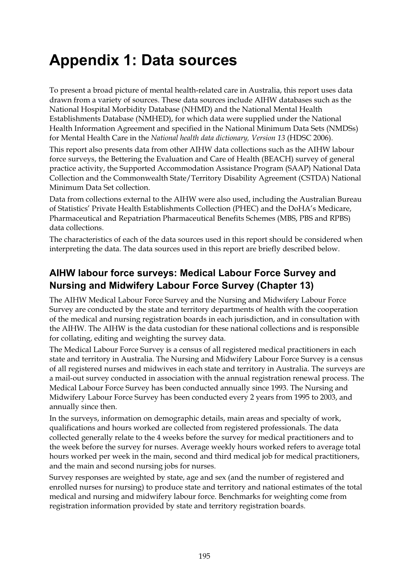## **Appendix 1: Data sources**

To present a broad picture of mental health-related care in Australia, this report uses data drawn from a variety of sources. These data sources include AIHW databases such as the National Hospital Morbidity Database (NHMD) and the National Mental Health Establishments Database (NMHED), for which data were supplied under the National Health Information Agreement and specified in the National Minimum Data Sets (NMDSs) for Mental Health Care in the *National health data dictionary, Version 13* (HDSC 2006).

This report also presents data from other AIHW data collections such as the AIHW labour force surveys, the Bettering the Evaluation and Care of Health (BEACH) survey of general practice activity, the Supported Accommodation Assistance Program (SAAP) National Data Collection and the Commonwealth State/Territory Disability Agreement (CSTDA) National Minimum Data Set collection.

Data from collections external to the AIHW were also used, including the Australian Bureau of Statistics' Private Health Establishments Collection (PHEC) and the DoHA's Medicare, Pharmaceutical and Repatriation Pharmaceutical Benefits Schemes (MBS, PBS and RPBS) data collections.

The characteristics of each of the data sources used in this report should be considered when interpreting the data. The data sources used in this report are briefly described below.

### **AIHW labour force surveys: Medical Labour Force Survey and Nursing and Midwifery Labour Force Survey (Chapter 13)**

The AIHW Medical Labour Force Survey and the Nursing and Midwifery Labour Force Survey are conducted by the state and territory departments of health with the cooperation of the medical and nursing registration boards in each jurisdiction, and in consultation with the AIHW. The AIHW is the data custodian for these national collections and is responsible for collating, editing and weighting the survey data.

The Medical Labour Force Survey is a census of all registered medical practitioners in each state and territory in Australia. The Nursing and Midwifery Labour Force Survey is a census of all registered nurses and midwives in each state and territory in Australia. The surveys are a mail-out survey conducted in association with the annual registration renewal process. The Medical Labour Force Survey has been conducted annually since 1993. The Nursing and Midwifery Labour Force Survey has been conducted every 2 years from 1995 to 2003, and annually since then.

In the surveys, information on demographic details, main areas and specialty of work, qualifications and hours worked are collected from registered professionals. The data collected generally relate to the 4 weeks before the survey for medical practitioners and to the week before the survey for nurses. Average weekly hours worked refers to average total hours worked per week in the main, second and third medical job for medical practitioners, and the main and second nursing jobs for nurses.

Survey responses are weighted by state, age and sex (and the number of registered and enrolled nurses for nursing) to produce state and territory and national estimates of the total medical and nursing and midwifery labour force. Benchmarks for weighting come from registration information provided by state and territory registration boards.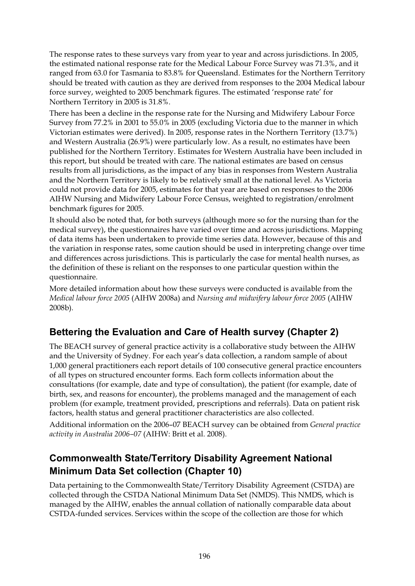The response rates to these surveys vary from year to year and across jurisdictions. In 2005, the estimated national response rate for the Medical Labour Force Survey was 71.3%, and it ranged from 63.0 for Tasmania to 83.8% for Queensland. Estimates for the Northern Territory should be treated with caution as they are derived from responses to the 2004 Medical labour force survey, weighted to 2005 benchmark figures. The estimated 'response rate' for Northern Territory in 2005 is 31.8%.

There has been a decline in the response rate for the Nursing and Midwifery Labour Force Survey from 77.2% in 2001 to 55.0% in 2005 (excluding Victoria due to the manner in which Victorian estimates were derived). In 2005, response rates in the Northern Territory (13.7%) and Western Australia (26.9%) were particularly low. As a result, no estimates have been published for the Northern Territory. Estimates for Western Australia have been included in this report, but should be treated with care. The national estimates are based on census results from all jurisdictions, as the impact of any bias in responses from Western Australia and the Northern Territory is likely to be relatively small at the national level. As Victoria could not provide data for 2005, estimates for that year are based on responses to the 2006 AIHW Nursing and Midwifery Labour Force Census, weighted to registration/enrolment benchmark figures for 2005.

It should also be noted that, for both surveys (although more so for the nursing than for the medical survey), the questionnaires have varied over time and across jurisdictions. Mapping of data items has been undertaken to provide time series data. However, because of this and the variation in response rates, some caution should be used in interpreting change over time and differences across jurisdictions. This is particularly the case for mental health nurses, as the definition of these is reliant on the responses to one particular question within the questionnaire.

More detailed information about how these surveys were conducted is available from the *Medical labour force 2005* (AIHW 2008a) and *Nursing and midwifery labour force 2005* (AIHW 2008b).

## **Bettering the Evaluation and Care of Health survey (Chapter 2)**

The BEACH survey of general practice activity is a collaborative study between the AIHW and the University of Sydney. For each year's data collection, a random sample of about 1,000 general practitioners each report details of 100 consecutive general practice encounters of all types on structured encounter forms. Each form collects information about the consultations (for example, date and type of consultation), the patient (for example, date of birth, sex, and reasons for encounter), the problems managed and the management of each problem (for example, treatment provided, prescriptions and referrals). Data on patient risk factors, health status and general practitioner characteristics are also collected.

Additional information on the 2006–07 BEACH survey can be obtained from *General practice activity in Australia 2006–07* (AIHW: Britt et al. 2008).

## **Commonwealth State/Territory Disability Agreement National Minimum Data Set collection (Chapter 10)**

Data pertaining to the Commonwealth State/Territory Disability Agreement (CSTDA) are collected through the CSTDA National Minimum Data Set (NMDS). This NMDS, which is managed by the AIHW, enables the annual collation of nationally comparable data about CSTDA-funded services. Services within the scope of the collection are those for which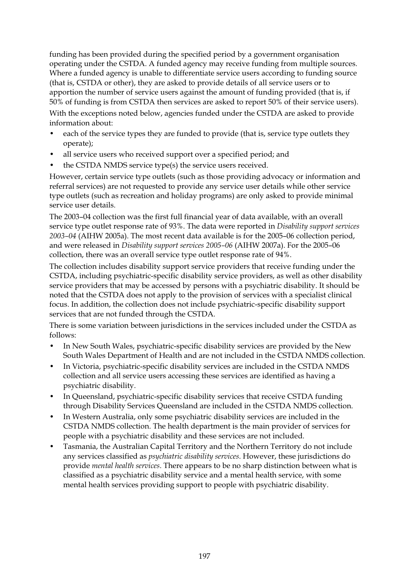funding has been provided during the specified period by a government organisation operating under the CSTDA. A funded agency may receive funding from multiple sources. Where a funded agency is unable to differentiate service users according to funding source (that is, CSTDA or other), they are asked to provide details of all service users or to apportion the number of service users against the amount of funding provided (that is, if 50% of funding is from CSTDA then services are asked to report 50% of their service users). With the exceptions noted below, agencies funded under the CSTDA are asked to provide information about:

- each of the service types they are funded to provide (that is, service type outlets they operate);
- all service users who received support over a specified period; and
- the CSTDA NMDS service type(s) the service users received.

However, certain service type outlets (such as those providing advocacy or information and referral services) are not requested to provide any service user details while other service type outlets (such as recreation and holiday programs) are only asked to provide minimal service user details.

The 2003–04 collection was the first full financial year of data available, with an overall service type outlet response rate of 93%. The data were reported in *Disability support services 2003–04* (AIHW 2005a). The most recent data available is for the 2005–06 collection period, and were released in *Disability support services 2005–06* (AIHW 2007a). For the 2005–06 collection, there was an overall service type outlet response rate of 94%.

The collection includes disability support service providers that receive funding under the CSTDA, including psychiatric-specific disability service providers, as well as other disability service providers that may be accessed by persons with a psychiatric disability. It should be noted that the CSTDA does not apply to the provision of services with a specialist clinical focus. In addition, the collection does not include psychiatric-specific disability support services that are not funded through the CSTDA.

There is some variation between jurisdictions in the services included under the CSTDA as follows:

- In New South Wales, psychiatric-specific disability services are provided by the New South Wales Department of Health and are not included in the CSTDA NMDS collection.
- In Victoria, psychiatric-specific disability services are included in the CSTDA NMDS collection and all service users accessing these services are identified as having a psychiatric disability.
- In Queensland, psychiatric-specific disability services that receive CSTDA funding through Disability Services Queensland are included in the CSTDA NMDS collection.
- In Western Australia, only some psychiatric disability services are included in the CSTDA NMDS collection. The health department is the main provider of services for people with a psychiatric disability and these services are not included.
- Tasmania, the Australian Capital Territory and the Northern Territory do not include any services classified as *psychiatric disability services*. However, these jurisdictions do provide *mental health services*. There appears to be no sharp distinction between what is classified as a psychiatric disability service and a mental health service, with some mental health services providing support to people with psychiatric disability.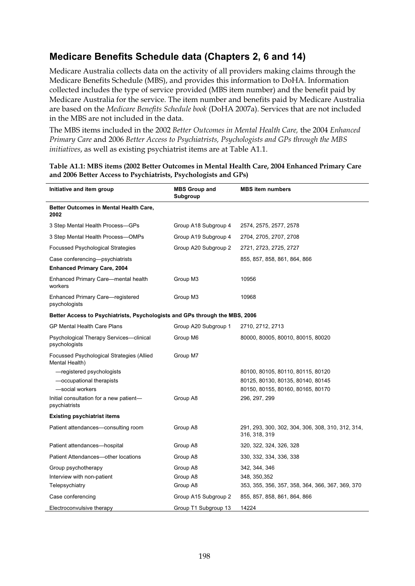### **Medicare Benefits Schedule data (Chapters 2, 6 and 14)**

Medicare Australia collects data on the activity of all providers making claims through the Medicare Benefits Schedule (MBS), and provides this information to DoHA. Information collected includes the type of service provided (MBS item number) and the benefit paid by Medicare Australia for the service. The item number and benefits paid by Medicare Australia are based on the *Medicare Benefits Schedule book* (DoHA 2007a). Services that are not included in the MBS are not included in the data.

The MBS items included in the 2002 *Better Outcomes in Mental Health Care,* the 2004 *Enhanced Primary Care* and 2006 *Better Access to Psychiatrists, Psychologists and GPs through the MBS initiatives*, as well as existing psychiatrist items are at Table A1.1.

| Initiative and item group                                                   | <b>MBS Group and</b><br>Subgroup | <b>MBS</b> item numbers                                            |
|-----------------------------------------------------------------------------|----------------------------------|--------------------------------------------------------------------|
| Better Outcomes in Mental Health Care,<br>2002                              |                                  |                                                                    |
| 3 Step Mental Health Process-GPs                                            | Group A18 Subgroup 4             | 2574, 2575, 2577, 2578                                             |
| 3 Step Mental Health Process-OMPs                                           | Group A19 Subgroup 4             | 2704, 2705, 2707, 2708                                             |
| Focussed Psychological Strategies                                           | Group A20 Subgroup 2             | 2721, 2723, 2725, 2727                                             |
| Case conferencing-psychiatrists<br><b>Enhanced Primary Care, 2004</b>       |                                  | 855, 857, 858, 861, 864, 866                                       |
| Enhanced Primary Care—mental health<br>workers                              | Group M3                         | 10956                                                              |
| Enhanced Primary Care-registered<br>psychologists                           | Group M3                         | 10968                                                              |
| Better Access to Psychiatrists, Psychologists and GPs through the MBS, 2006 |                                  |                                                                    |
| <b>GP Mental Health Care Plans</b>                                          | Group A20 Subgroup 1             | 2710, 2712, 2713                                                   |
| Psychological Therapy Services—clinical<br>psychologists                    | Group M6                         | 80000, 80005, 80010, 80015, 80020                                  |
| Focussed Psychological Strategies (Allied<br>Mental Health)                 | Group M7                         |                                                                    |
| -registered psychologists                                                   |                                  | 80100, 80105, 80110, 80115, 80120                                  |
| -occupational therapists                                                    |                                  | 80125, 80130, 80135, 80140, 80145                                  |
| -social workers                                                             |                                  | 80150, 80155, 80160, 80165, 80170                                  |
| Initial consultation for a new patient-<br>psychiatrists                    | Group A8                         | 296, 297, 299                                                      |
| <b>Existing psychiatrist items</b>                                          |                                  |                                                                    |
| Patient attendances—consulting room                                         | Group A8                         | 291, 293, 300, 302, 304, 306, 308, 310, 312, 314,<br>316, 318, 319 |
| Patient attendances—hospital                                                | Group A8                         | 320, 322, 324, 326, 328                                            |
| Patient Attendances-other locations                                         | Group A8                         | 330, 332, 334, 336, 338                                            |
| Group psychotherapy                                                         | Group A8                         | 342, 344, 346                                                      |
| Interview with non-patient                                                  | Group A8                         | 348, 350, 352                                                      |
| Telepsychiatry                                                              | Group A8                         | 353, 355, 356, 357, 358, 364, 366, 367, 369, 370                   |
| Case conferencing                                                           | Group A15 Subgroup 2             | 855, 857, 858, 861, 864, 866                                       |
| Electroconvulsive therapy                                                   | Group T1 Subgroup 13             | 14224                                                              |

#### **Table A1.1: MBS items (2002 Better Outcomes in Mental Health Care, 2004 Enhanced Primary Care and 2006 Better Access to Psychiatrists, Psychologists and GPs)**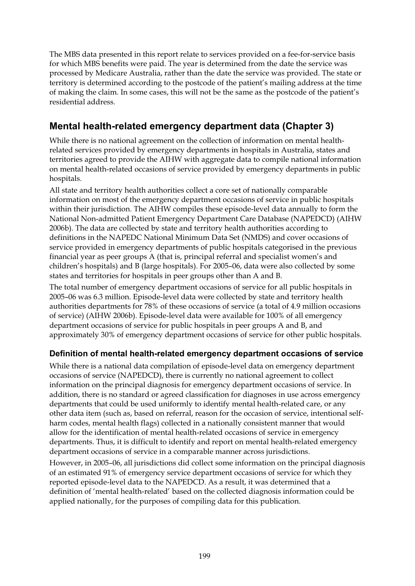The MBS data presented in this report relate to services provided on a fee-for-service basis for which MBS benefits were paid. The year is determined from the date the service was processed by Medicare Australia, rather than the date the service was provided. The state or territory is determined according to the postcode of the patient's mailing address at the time of making the claim. In some cases, this will not be the same as the postcode of the patient's residential address.

## **Mental health-related emergency department data (Chapter 3)**

While there is no national agreement on the collection of information on mental healthrelated services provided by emergency departments in hospitals in Australia, states and territories agreed to provide the AIHW with aggregate data to compile national information on mental health-related occasions of service provided by emergency departments in public hospitals.

All state and territory health authorities collect a core set of nationally comparable information on most of the emergency department occasions of service in public hospitals within their jurisdiction. The AIHW compiles these episode-level data annually to form the National Non-admitted Patient Emergency Department Care Database (NAPEDCD) (AIHW 2006b). The data are collected by state and territory health authorities according to definitions in the NAPEDC National Minimum Data Set (NMDS) and cover occasions of service provided in emergency departments of public hospitals categorised in the previous financial year as peer groups A (that is, principal referral and specialist women's and children's hospitals) and B (large hospitals). For 2005–06, data were also collected by some states and territories for hospitals in peer groups other than A and B.

The total number of emergency department occasions of service for all public hospitals in 2005–06 was 6.3 million. Episode-level data were collected by state and territory health authorities departments for 78% of these occasions of service (a total of 4.9 million occasions of service) (AIHW 2006b). Episode-level data were available for 100% of all emergency department occasions of service for public hospitals in peer groups A and B, and approximately 30% of emergency department occasions of service for other public hospitals.

#### **Definition of mental health-related emergency department occasions of service**

While there is a national data compilation of episode-level data on emergency department occasions of service (NAPEDCD), there is currently no national agreement to collect information on the principal diagnosis for emergency department occasions of service. In addition, there is no standard or agreed classification for diagnoses in use across emergency departments that could be used uniformly to identify mental health-related care, or any other data item (such as, based on referral, reason for the occasion of service, intentional selfharm codes, mental health flags) collected in a nationally consistent manner that would allow for the identification of mental health-related occasions of service in emergency departments. Thus, it is difficult to identify and report on mental health-related emergency department occasions of service in a comparable manner across jurisdictions.

However, in 2005–06, all jurisdictions did collect some information on the principal diagnosis of an estimated 91% of emergency service department occasions of service for which they reported episode-level data to the NAPEDCD. As a result, it was determined that a definition of 'mental health-related' based on the collected diagnosis information could be applied nationally, for the purposes of compiling data for this publication.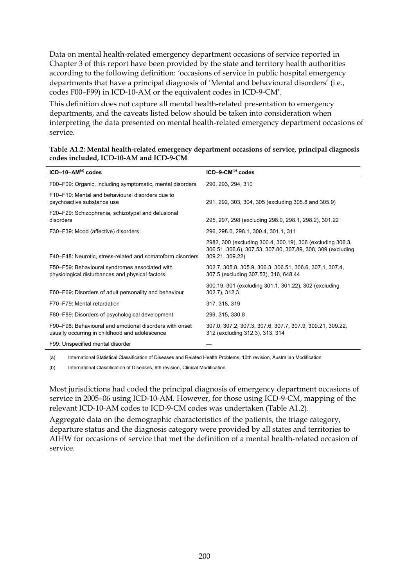Data on mental health-related emergency department occasions of service reported in Chapter 3 of this report have been provided by the state and territory health authorities according to the following definition: *'*occasions of service in public hospital emergency departments that have a principal diagnosis of 'Mental and behavioural disorders' (i.e., codes F00–F99) in ICD-10-AM or the equivalent codes in ICD-9-CM'.

This definition does not capture all mental health-related presentation to emergency departments, and the caveats listed below should be taken into consideration when interpreting the data presented on mental health-related emergency department occasions of service.

| $ICD-10-AM(a) codes$                                                                                      | $ICD-9-CM^{(b)}$ codes                                                                                                                       |
|-----------------------------------------------------------------------------------------------------------|----------------------------------------------------------------------------------------------------------------------------------------------|
| F00-F09: Organic, including symptomatic, mental disorders                                                 | 290, 293, 294, 310                                                                                                                           |
| F10–F19: Mental and behavioural disorders due to<br>psychoactive substance use                            | 291, 292, 303, 304, 305 (excluding 305.8 and 305.9)                                                                                          |
| F20–F29: Schizophrenia, schizotypal and delusional<br>disorders                                           | 295, 297, 298 (excluding 298.0, 298.1, 298.2), 301.22                                                                                        |
| F30-F39: Mood (affective) disorders                                                                       | 296, 298.0, 298.1, 300.4, 301.1, 311                                                                                                         |
| F40–F48: Neurotic, stress-related and somatoform disorders                                                | 2982, 300 (excluding 300.4, 300.19), 306 (excluding 306.3,<br>306.51, 306.6), 307.53, 307.80, 307.89, 308, 309 (excluding<br>309.21, 309.22) |
| F50-F59: Behavioural syndromes associated with<br>physiological disturbances and physical factors         | 302.7, 305.8, 305.9, 306.3, 306.51, 306.6, 307.1, 307.4,<br>307.5 (excluding 307.53), 316, 648.44                                            |
| F60-F69: Disorders of adult personality and behaviour                                                     | 300.19, 301 (excluding 301.1, 301.22), 302 (excluding<br>302.7), 312.3                                                                       |
| F70-F79: Mental retardation                                                                               | 317, 318, 319                                                                                                                                |
| F80–F89: Disorders of psychological development                                                           | 299, 315, 330.8                                                                                                                              |
| F90–F98: Behavioural and emotional disorders with onset<br>usually occurring in childhood and adolescence | 307.0, 307.2, 307.3, 307.6, 307.7, 307.9, 309.21, 309.22,<br>312 (excluding 312.3), 313, 314                                                 |
| F99: Unspecified mental disorder                                                                          |                                                                                                                                              |

| Table A1.2: Mental health-related emergency department occasions of service, principal diagnosis |  |
|--------------------------------------------------------------------------------------------------|--|
| codes included, ICD-10-AM and ICD-9-CM                                                           |  |

(a) International Statistical Classification of Diseases and Related Health Problems, 10th revision, Australian Modification.

(b) International Classification of Diseases, 9th revision, Clinical Modification.

Most jurisdictions had coded the principal diagnosis of emergency department occasions of service in 2005–06 using ICD-10-AM. However, for those using ICD-9-CM, mapping of the relevant ICD-10-AM codes to ICD-9-CM codes was undertaken (Table A1.2).

Aggregate data on the demographic characteristics of the patients, the triage category, departure status and the diagnosis category were provided by all states and territories to AIHW for occasions of service that met the definition of a mental health-related occasion of service.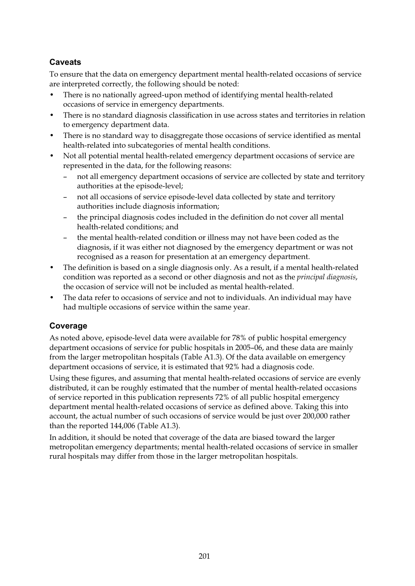#### **Caveats**

To ensure that the data on emergency department mental health-related occasions of service are interpreted correctly, the following should be noted:

- There is no nationally agreed-upon method of identifying mental health-related occasions of service in emergency departments.
- There is no standard diagnosis classification in use across states and territories in relation to emergency department data.
- There is no standard way to disaggregate those occasions of service identified as mental health-related into subcategories of mental health conditions.
- Not all potential mental health-related emergency department occasions of service are represented in the data, for the following reasons:
	- not all emergency department occasions of service are collected by state and territory authorities at the episode-level;
	- not all occasions of service episode-level data collected by state and territory authorities include diagnosis information;
	- the principal diagnosis codes included in the definition do not cover all mental health-related conditions; and
	- the mental health-related condition or illness may not have been coded as the diagnosis, if it was either not diagnosed by the emergency department or was not recognised as a reason for presentation at an emergency department.
- The definition is based on a single diagnosis only. As a result, if a mental health-related condition was reported as a second or other diagnosis and not as the *principal diagnosis*, the occasion of service will not be included as mental health-related.
- The data refer to occasions of service and not to individuals. An individual may have had multiple occasions of service within the same year.

#### **Coverage**

As noted above, episode-level data were available for 78% of public hospital emergency department occasions of service for public hospitals in 2005–06, and these data are mainly from the larger metropolitan hospitals (Table A1.3). Of the data available on emergency department occasions of service, it is estimated that 92% had a diagnosis code.

Using these figures, and assuming that mental health-related occasions of service are evenly distributed, it can be roughly estimated that the number of mental health-related occasions of service reported in this publication represents 72% of all public hospital emergency department mental health-related occasions of service as defined above. Taking this into account, the actual number of such occasions of service would be just over 200,000 rather than the reported 144,006 (Table A1.3).

In addition, it should be noted that coverage of the data are biased toward the larger metropolitan emergency departments; mental health-related occasions of service in smaller rural hospitals may differ from those in the larger metropolitan hospitals.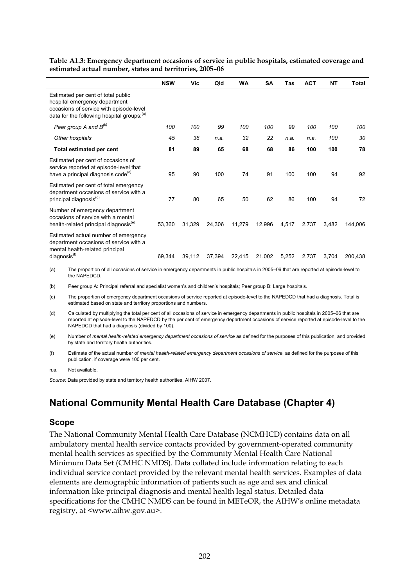|                                                                                                                                                               | <b>NSW</b> | Vic    | Qld    | <b>WA</b> | SΑ     | Tas   | <b>ACT</b> | NΤ    | Total   |
|---------------------------------------------------------------------------------------------------------------------------------------------------------------|------------|--------|--------|-----------|--------|-------|------------|-------|---------|
| Estimated per cent of total public<br>hospital emergency department<br>occasions of service with episode-level<br>data for the following hospital groups: (a) |            |        |        |           |        |       |            |       |         |
| Peer group A and $B^{(b)}$                                                                                                                                    | 100        | 100    | 99     | 100       | 100    | 99    | 100        | 100   | 100     |
| Other hospitals                                                                                                                                               | 45         | 36     | n.a.   | 32        | 22     | n.a.  | n.a.       | 100   | 30      |
| Total estimated per cent                                                                                                                                      | 81         | 89     | 65     | 68        | 68     | 86    | 100        | 100   | 78      |
| Estimated per cent of occasions of<br>service reported at episode-level that<br>have a principal diagnosis code <sup>(c)</sup>                                | 95         | 90     | 100    | 74        | 91     | 100   | 100        | 94    | 92      |
| Estimated per cent of total emergency<br>department occasions of service with a<br>principal diagnosis <sup>(d)</sup>                                         | 77         | 80     | 65     | 50        | 62     | 86    | 100        | 94    | 72      |
| Number of emergency department<br>occasions of service with a mental<br>health-related principal diagnosis <sup>(e)</sup>                                     | 53,360     | 31,329 | 24,306 | 11,279    | 12,996 | 4,517 | 2,737      | 3,482 | 144.006 |
| Estimated actual number of emergency<br>department occasions of service with a<br>mental health-related principal<br>diagnosis <sup>(1)</sup>                 | 69.344     | 39,112 | 37,394 | 22,415    | 21,002 | 5,252 | 2,737      | 3.704 | 200.438 |

**Table A1.3: Emergency department occasions of service in public hospitals, estimated coverage and estimated actual number, states and territories, 2005–06**

(a) The proportion of all occasions of service in emergency departments in public hospitals in 2005–06 that are reported at episode-level to the NAPEDCD.

(b) Peer group A: Principal referral and specialist women's and children's hospitals; Peer group B: Large hospitals.

(c) The proportion of emergency department occasions of service reported at episode-level to the NAPEDCD that had a diagnosis. Total is estimated based on state and territory proportions and numbers.

(d) Calculated by multiplying the total per cent of all occasions of service in emergency departments in public hospitals in 2005–06 that are reported at episode-level to the NAPEDCD by the per cent of emergency department occasions of service reported at episode-level to the NAPEDCD that had a diagnosis (divided by 100).

(e) Number of *mental health-related emergency department occasions of service* as defined for the purposes of this publication, and provided by state and territory health authorities.

(f) Estimate of the actual number of *mental health-related emergency department occasions of service*, as defined for the purposes of this publication, if coverage were 100 per cent.

#### n.a. Not available.

*Source:* Data provided by state and territory health authorities, AIHW 2007.

### **National Community Mental Health Care Database (Chapter 4)**

#### **Scope**

The National Community Mental Health Care Database (NCMHCD) contains data on all ambulatory mental health service contacts provided by government-operated community mental health services as specified by the Community Mental Health Care National Minimum Data Set (CMHC NMDS). Data collated include information relating to each individual service contact provided by the relevant mental health services. Examples of data elements are demographic information of patients such as age and sex and clinical information like principal diagnosis and mental health legal status. Detailed data specifications for the CMHC NMDS can be found in METeOR, the AIHW's online metadata registry, at <www.aihw.gov.au>.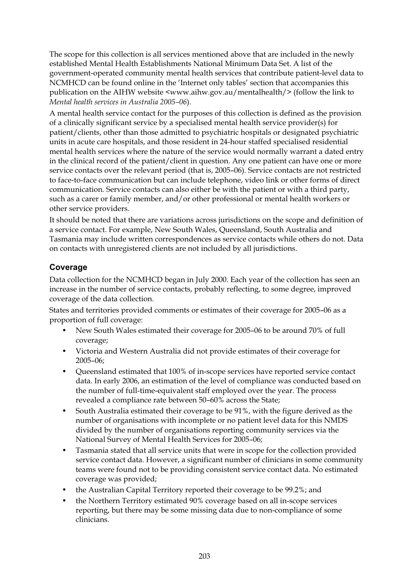The scope for this collection is all services mentioned above that are included in the newly established Mental Health Establishments National Minimum Data Set. A list of the government-operated community mental health services that contribute patient-level data to NCMHCD can be found online in the 'Internet only tables' section that accompanies this publication on the AIHW website <www.aihw.gov.au/mentalhealth/> (follow the link to *Mental health services in Australia 2005–06*).

A mental health service contact for the purposes of this collection is defined as the provision of a clinically significant service by a specialised mental health service provider(s) for patient/clients, other than those admitted to psychiatric hospitals or designated psychiatric units in acute care hospitals, and those resident in 24-hour staffed specialised residential mental health services where the nature of the service would normally warrant a dated entry in the clinical record of the patient/client in question. Any one patient can have one or more service contacts over the relevant period (that is, 2005–06). Service contacts are not restricted to face-to-face communication but can include telephone, video link or other forms of direct communication. Service contacts can also either be with the patient or with a third party, such as a carer or family member, and/or other professional or mental health workers or other service providers*.* 

It should be noted that there are variations across jurisdictions on the scope and definition of a service contact. For example, New South Wales, Queensland, South Australia and Tasmania may include written correspondences as service contacts while others do not. Data on contacts with unregistered clients are not included by all jurisdictions.

#### **Coverage**

Data collection for the NCMHCD began in July 2000. Each year of the collection has seen an increase in the number of service contacts, probably reflecting, to some degree, improved coverage of the data collection.

States and territories provided comments or estimates of their coverage for 2005–06 as a proportion of full coverage:

- New South Wales estimated their coverage for 2005–06 to be around 70% of full coverage;
- Victoria and Western Australia did not provide estimates of their coverage for 2005–06;
- Queensland estimated that 100% of in-scope services have reported service contact data. In early 2006, an estimation of the level of compliance was conducted based on the number of full-time-equivalent staff employed over the year. The process revealed a compliance rate between 50–60% across the State;
- South Australia estimated their coverage to be 91%, with the figure derived as the number of organisations with incomplete or no patient level data for this NMDS divided by the number of organisations reporting community services via the National Survey of Mental Health Services for 2005–06;
- Tasmania stated that all service units that were in scope for the collection provided service contact data. However, a significant number of clinicians in some community teams were found not to be providing consistent service contact data. No estimated coverage was provided;
- the Australian Capital Territory reported their coverage to be 99.2%; and
- the Northern Territory estimated 90% coverage based on all in-scope services reporting, but there may be some missing data due to non-compliance of some clinicians.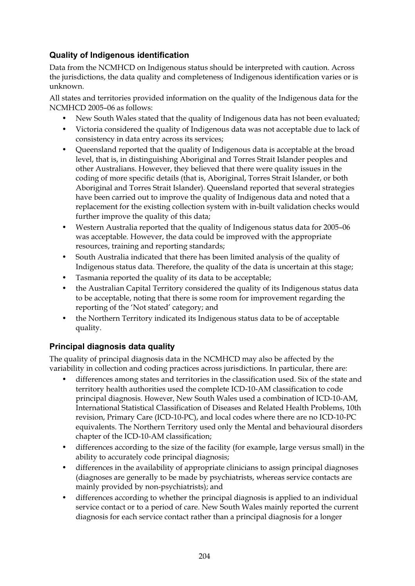#### **Quality of Indigenous identification**

Data from the NCMHCD on Indigenous status should be interpreted with caution. Across the jurisdictions, the data quality and completeness of Indigenous identification varies or is unknown.

All states and territories provided information on the quality of the Indigenous data for the NCMHCD 2005–06 as follows:

- New South Wales stated that the quality of Indigenous data has not been evaluated;
- Victoria considered the quality of Indigenous data was not acceptable due to lack of consistency in data entry across its services;
- Queensland reported that the quality of Indigenous data is acceptable at the broad level, that is, in distinguishing Aboriginal and Torres Strait Islander peoples and other Australians. However, they believed that there were quality issues in the coding of more specific details (that is, Aboriginal, Torres Strait Islander, or both Aboriginal and Torres Strait Islander). Queensland reported that several strategies have been carried out to improve the quality of Indigenous data and noted that a replacement for the existing collection system with in-built validation checks would further improve the quality of this data;
- Western Australia reported that the quality of Indigenous status data for 2005–06 was acceptable. However, the data could be improved with the appropriate resources, training and reporting standards;
- South Australia indicated that there has been limited analysis of the quality of Indigenous status data. Therefore, the quality of the data is uncertain at this stage;
- Tasmania reported the quality of its data to be acceptable;
- the Australian Capital Territory considered the quality of its Indigenous status data to be acceptable, noting that there is some room for improvement regarding the reporting of the 'Not stated' category; and
- the Northern Territory indicated its Indigenous status data to be of acceptable quality.

#### **Principal diagnosis data quality**

The quality of principal diagnosis data in the NCMHCD may also be affected by the variability in collection and coding practices across jurisdictions. In particular, there are:

- differences among states and territories in the classification used. Six of the state and territory health authorities used the complete ICD-10-AM classification to code principal diagnosis. However, New South Wales used a combination of ICD-10-AM, International Statistical Classification of Diseases and Related Health Problems, 10th revision, Primary Care (ICD-10-PC), and local codes where there are no ICD-10-PC equivalents. The Northern Territory used only the Mental and behavioural disorders chapter of the ICD-10-AM classification;
- differences according to the size of the facility (for example, large versus small) in the ability to accurately code principal diagnosis;
- differences in the availability of appropriate clinicians to assign principal diagnoses (diagnoses are generally to be made by psychiatrists, whereas service contacts are mainly provided by non-psychiatrists); and
- differences according to whether the principal diagnosis is applied to an individual service contact or to a period of care. New South Wales mainly reported the current diagnosis for each service contact rather than a principal diagnosis for a longer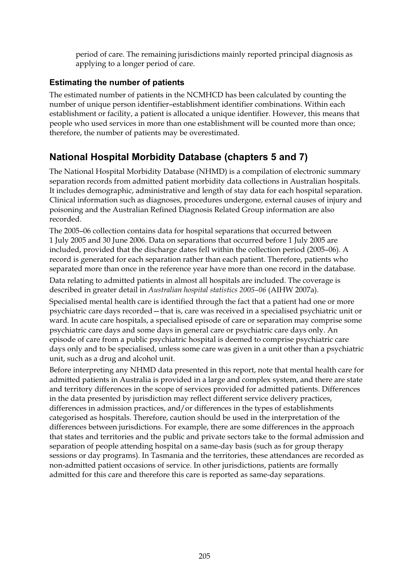period of care. The remaining jurisdictions mainly reported principal diagnosis as applying to a longer period of care.

#### **Estimating the number of patients**

The estimated number of patients in the NCMHCD has been calculated by counting the number of unique person identifier–establishment identifier combinations. Within each establishment or facility, a patient is allocated a unique identifier. However, this means that people who used services in more than one establishment will be counted more than once; therefore, the number of patients may be overestimated.

### **National Hospital Morbidity Database (chapters 5 and 7)**

The National Hospital Morbidity Database (NHMD) is a compilation of electronic summary separation records from admitted patient morbidity data collections in Australian hospitals. It includes demographic, administrative and length of stay data for each hospital separation. Clinical information such as diagnoses, procedures undergone, external causes of injury and poisoning and the Australian Refined Diagnosis Related Group information are also recorded.

The 2005–06 collection contains data for hospital separations that occurred between 1 July 2005 and 30 June 2006. Data on separations that occurred before 1 July 2005 are included, provided that the discharge dates fell within the collection period (2005–06). A record is generated for each separation rather than each patient. Therefore, patients who separated more than once in the reference year have more than one record in the database.

Data relating to admitted patients in almost all hospitals are included. The coverage is described in greater detail in *Australian hospital statistics 2005–06* (AIHW 2007a).

Specialised mental health care is identified through the fact that a patient had one or more psychiatric care days recorded—that is, care was received in a specialised psychiatric unit or ward. In acute care hospitals, a specialised episode of care or separation may comprise some psychiatric care days and some days in general care or psychiatric care days only. An episode of care from a public psychiatric hospital is deemed to comprise psychiatric care days only and to be specialised, unless some care was given in a unit other than a psychiatric unit, such as a drug and alcohol unit.

Before interpreting any NHMD data presented in this report, note that mental health care for admitted patients in Australia is provided in a large and complex system, and there are state and territory differences in the scope of services provided for admitted patients. Differences in the data presented by jurisdiction may reflect different service delivery practices, differences in admission practices, and/or differences in the types of establishments categorised as hospitals. Therefore, caution should be used in the interpretation of the differences between jurisdictions. For example, there are some differences in the approach that states and territories and the public and private sectors take to the formal admission and separation of people attending hospital on a same-day basis (such as for group therapy sessions or day programs). In Tasmania and the territories, these attendances are recorded as non-admitted patient occasions of service. In other jurisdictions, patients are formally admitted for this care and therefore this care is reported as same-day separations.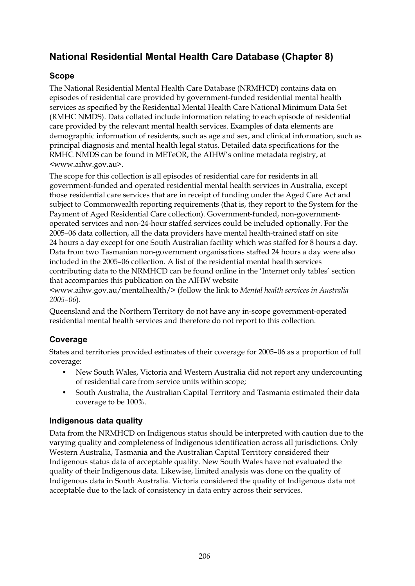## **National Residential Mental Health Care Database (Chapter 8)**

#### **Scope**

The National Residential Mental Health Care Database (NRMHCD) contains data on episodes of residential care provided by government-funded residential mental health services as specified by the Residential Mental Health Care National Minimum Data Set (RMHC NMDS). Data collated include information relating to each episode of residential care provided by the relevant mental health services. Examples of data elements are demographic information of residents, such as age and sex, and clinical information, such as principal diagnosis and mental health legal status. Detailed data specifications for the RMHC NMDS can be found in METeOR, the AIHW's online metadata registry, at <www.aihw.gov.au>.

The scope for this collection is all episodes of residential care for residents in all government-funded and operated residential mental health services in Australia, except those residential care services that are in receipt of funding under the Aged Care Act and subject to Commonwealth reporting requirements (that is, they report to the System for the Payment of Aged Residential Care collection). Government-funded, non-governmentoperated services and non-24-hour staffed services could be included optionally. For the 2005–06 data collection, all the data providers have mental health-trained staff on site 24 hours a day except for one South Australian facility which was staffed for 8 hours a day. Data from two Tasmanian non-government organisations staffed 24 hours a day were also included in the 2005–06 collection. A list of the residential mental health services contributing data to the NRMHCD can be found online in the 'Internet only tables' section that accompanies this publication on the AIHW website

<www.aihw.gov.au/mentalhealth/> (follow the link to *Mental health services in Australia 2005–06*).

Queensland and the Northern Territory do not have any in-scope government-operated residential mental health services and therefore do not report to this collection.

#### **Coverage**

States and territories provided estimates of their coverage for 2005–06 as a proportion of full coverage:

- New South Wales, Victoria and Western Australia did not report any undercounting of residential care from service units within scope;
- South Australia, the Australian Capital Territory and Tasmania estimated their data coverage to be 100%.

#### **Indigenous data quality**

Data from the NRMHCD on Indigenous status should be interpreted with caution due to the varying quality and completeness of Indigenous identification across all jurisdictions. Only Western Australia, Tasmania and the Australian Capital Territory considered their Indigenous status data of acceptable quality. New South Wales have not evaluated the quality of their Indigenous data. Likewise, limited analysis was done on the quality of Indigenous data in South Australia. Victoria considered the quality of Indigenous data not acceptable due to the lack of consistency in data entry across their services.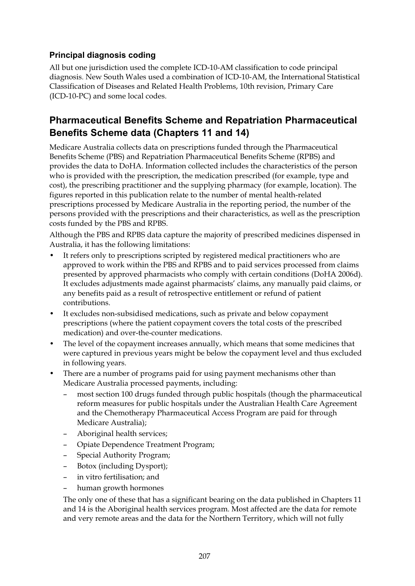#### **Principal diagnosis coding**

All but one jurisdiction used the complete ICD-10-AM classification to code principal diagnosis. New South Wales used a combination of ICD-10-AM, the International Statistical Classification of Diseases and Related Health Problems, 10th revision, Primary Care (ICD-10-PC) and some local codes.

#### **Pharmaceutical Benefits Scheme and Repatriation Pharmaceutical Benefits Scheme data (Chapters 11 and 14)**

Medicare Australia collects data on prescriptions funded through the Pharmaceutical Benefits Scheme (PBS) and Repatriation Pharmaceutical Benefits Scheme (RPBS) and provides the data to DoHA. Information collected includes the characteristics of the person who is provided with the prescription, the medication prescribed (for example, type and cost), the prescribing practitioner and the supplying pharmacy (for example, location). The figures reported in this publication relate to the number of mental health-related prescriptions processed by Medicare Australia in the reporting period, the number of the persons provided with the prescriptions and their characteristics, as well as the prescription costs funded by the PBS and RPBS.

Although the PBS and RPBS data capture the majority of prescribed medicines dispensed in Australia, it has the following limitations:

- It refers only to prescriptions scripted by registered medical practitioners who are approved to work within the PBS and RPBS and to paid services processed from claims presented by approved pharmacists who comply with certain conditions (DoHA 2006d). It excludes adjustments made against pharmacists' claims, any manually paid claims, or any benefits paid as a result of retrospective entitlement or refund of patient contributions.
- It excludes non-subsidised medications, such as private and below copayment prescriptions (where the patient copayment covers the total costs of the prescribed medication) and over-the-counter medications.
- The level of the copayment increases annually, which means that some medicines that were captured in previous years might be below the copayment level and thus excluded in following years.
- There are a number of programs paid for using payment mechanisms other than Medicare Australia processed payments, including:
	- most section 100 drugs funded through public hospitals (though the pharmaceutical reform measures for public hospitals under the Australian Health Care Agreement and the Chemotherapy Pharmaceutical Access Program are paid for through Medicare Australia);
	- Aboriginal health services;
	- Opiate Dependence Treatment Program;
	- Special Authority Program;
	- Botox (including Dysport);
	- in vitro fertilisation; and
	- human growth hormones

The only one of these that has a significant bearing on the data published in Chapters 11 and 14 is the Aboriginal health services program. Most affected are the data for remote and very remote areas and the data for the Northern Territory, which will not fully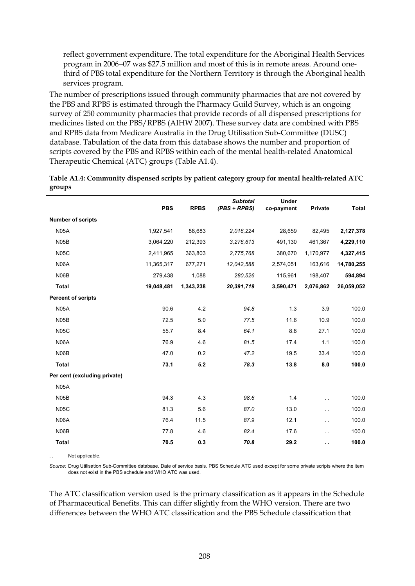reflect government expenditure. The total expenditure for the Aboriginal Health Services program in 2006−07 was \$27.5 million and most of this is in remote areas. Around onethird of PBS total expenditure for the Northern Territory is through the Aboriginal health services program.

The number of prescriptions issued through community pharmacies that are not covered by the PBS and RPBS is estimated through the Pharmacy Guild Survey, which is an ongoing survey of 250 community pharmacies that provide records of all dispensed prescriptions for medicines listed on the PBS/RPBS (AIHW 2007). These survey data are combined with PBS and RPBS data from Medicare Australia in the Drug Utilisation Sub-Committee (DUSC) database. Tabulation of the data from this database shows the number and proportion of scripts covered by the PBS and RPBS within each of the mental health-related Anatomical Therapeutic Chemical (ATC) groups (Table A1.4).

|                              | <b>PBS</b> | <b>RPBS</b> | <b>Subtotal</b><br>(PBS + RPBS) | <b>Under</b><br>co-payment | <b>Private</b>       | <b>Total</b> |
|------------------------------|------------|-------------|---------------------------------|----------------------------|----------------------|--------------|
| <b>Number of scripts</b>     |            |             |                                 |                            |                      |              |
| <b>N05A</b>                  | 1,927,541  | 88,683      | 2.016.224                       | 28,659                     | 82,495               | 2,127,378    |
| N <sub>05</sub> B            | 3,064,220  | 212,393     | 3,276,613                       | 491,130                    | 461,367              | 4,229,110    |
| <b>N05C</b>                  | 2,411,965  | 363,803     | 2,775,768                       | 380,670                    | 1,170,977            | 4,327,415    |
| <b>N06A</b>                  | 11,365,317 | 677,271     | 12,042,588                      | 2,574,051                  | 163,616              | 14,780,255   |
| N <sub>06</sub> B            | 279,438    | 1,088       | 280,526                         | 115,961                    | 198,407              | 594,894      |
| <b>Total</b>                 | 19,048,481 | 1,343,238   | 20,391,719                      | 3,590,471                  | 2,076,862            | 26,059,052   |
| <b>Percent of scripts</b>    |            |             |                                 |                            |                      |              |
| <b>N05A</b>                  | 90.6       | 4.2         | 94.8                            | 1.3                        | 3.9                  | 100.0        |
| N <sub>05</sub> B            | 72.5       | 5.0         | 77.5                            | 11.6                       | 10.9                 | 100.0        |
| <b>N05C</b>                  | 55.7       | 8.4         | 64.1                            | 8.8                        | 27.1                 | 100.0        |
| <b>N06A</b>                  | 76.9       | 4.6         | 81.5                            | 17.4                       | 1.1                  | 100.0        |
| N <sub>06</sub> B            | 47.0       | 0.2         | 47.2                            | 19.5                       | 33.4                 | 100.0        |
| <b>Total</b>                 | 73.1       | 5.2         | 78.3                            | 13.8                       | 8.0                  | 100.0        |
| Per cent (excluding private) |            |             |                                 |                            |                      |              |
| <b>N05A</b>                  |            |             |                                 |                            |                      |              |
| N <sub>05</sub> B            | 94.3       | 4.3         | 98.6                            | 1.4                        | $\ddot{\phantom{a}}$ | 100.0        |
| <b>N05C</b>                  | 81.3       | 5.6         | 87.0                            | 13.0                       | $\ddot{\phantom{0}}$ | 100.0        |
| <b>N06A</b>                  | 76.4       | 11.5        | 87.9                            | 12.1                       | $\ddot{\phantom{0}}$ | 100.0        |
| N06B                         | 77.8       | 4.6         | 82.4                            | 17.6                       | $\ddot{\phantom{0}}$ | 100.0        |
| <b>Total</b>                 | 70.5       | 0.3         | 70.8                            | 29.2                       | $\ddot{\phantom{1}}$ | 100.0        |

| Table A1.4: Community dispensed scripts by patient category group for mental health-related ATC |  |
|-------------------------------------------------------------------------------------------------|--|
| groups                                                                                          |  |

Not applicable.

*Source:* Drug Utilisation Sub-Committee database. Date of service basis. PBS Schedule ATC used except for some private scripts where the item does not exist in the PBS schedule and WHO ATC was used.

The ATC classification version used is the primary classification as it appears in the Schedule of Pharmaceutical Benefits. This can differ slightly from the WHO version. There are two differences between the WHO ATC classification and the PBS Schedule classification that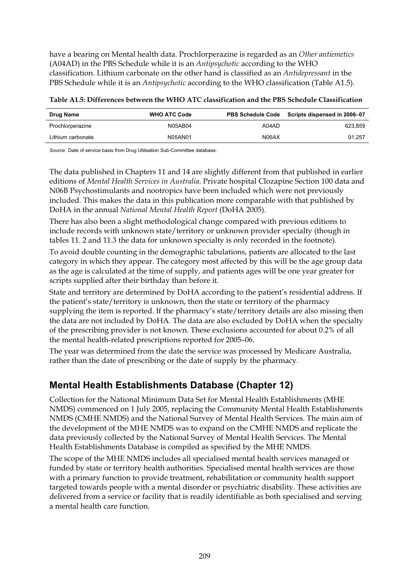have a bearing on Mental health data. Prochlorperazine is regarded as an *Other antiemetics* (A04AD) in the PBS Schedule while it is an *Antipsychotic* according to the WHO classification. Lithium carbonate on the other hand is classified as an *Antidepressant* in the PBS Schedule while it is an *Antipsychotic* according to the WHO classification (Table A1.5).

|  | Table A1.5: Differences between the WHO ATC classification and the PBS Schedule Classification |  |  |  |  |  |  |  |
|--|------------------------------------------------------------------------------------------------|--|--|--|--|--|--|--|
|  |                                                                                                |  |  |  |  |  |  |  |

| Drug Name         | <b>WHO ATC Code</b> |       | PBS Schedule Code Scripts dispensed in 2006-07 |
|-------------------|---------------------|-------|------------------------------------------------|
| Prochlorperazine  | N05AB04             | A04AD | 623,859                                        |
| Lithium carbonate | N05AN01             | N06AX | 91.257                                         |

*Source:* Date of service basis from Drug Utilisation Sub-Committee database.

The data published in Chapters 11 and 14 are slightly different from that published in earlier editions of *Mental Health Services in Australia*. Private hospital Clozapine Section 100 data and N06B Psychostimulants and nootropics have been included which were not previously included. This makes the data in this publication more comparable with that published by DoHA in the annual *National Mental Health Report* (DoHA 2005).

There has also been a slight methodological change compared with previous editions to include records with unknown state/territory or unknown provider specialty (though in tables 11. 2 and 11.3 the data for unknown specialty is only recorded in the footnote).

To avoid double counting in the demographic tabulations, patients are allocated to the last category in which they appear. The category most affected by this will be the age group data as the age is calculated at the time of supply, and patients ages will be one year greater for scripts supplied after their birthday than before it.

State and territory are determined by DoHA according to the patient's residential address. If the patient's state/territory is unknown, then the state or territory of the pharmacy supplying the item is reported. If the pharmacy's state/territory details are also missing then the data are not included by DoHA. The data are also excluded by DoHA when the specialty of the prescribing provider is not known. These exclusions accounted for about 0.2% of all the mental health-related prescriptions reported for 2005–06.

The year was determined from the date the service was processed by Medicare Australia, rather than the date of prescribing or the date of supply by the pharmacy.

### **Mental Health Establishments Database (Chapter 12)**

Collection for the National Minimum Data Set for Mental Health Establishments (MHE NMDS) commenced on 1 July 2005, replacing the Community Mental Health Establishments NMDS (CMHE NMDS) and the National Survey of Mental Health Services. The main aim of the development of the MHE NMDS was to expand on the CMHE NMDS and replicate the data previously collected by the National Survey of Mental Health Services. The Mental Health Establishments Database is compiled as specified by the MHE NMDS.

The scope of the MHE NMDS includes all specialised mental health services managed or funded by state or territory health authorities. Specialised mental health services are those with a primary function to provide treatment, rehabilitation or community health support targeted towards people with a mental disorder or psychiatric disability. These activities are delivered from a service or facility that is readily identifiable as both specialised and serving a mental health care function.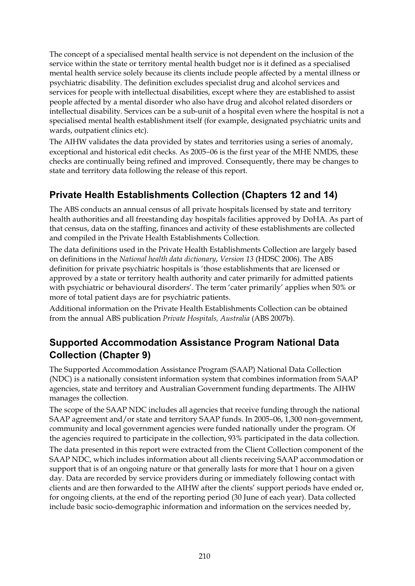The concept of a specialised mental health service is not dependent on the inclusion of the service within the state or territory mental health budget nor is it defined as a specialised mental health service solely because its clients include people affected by a mental illness or psychiatric disability. The definition excludes specialist drug and alcohol services and services for people with intellectual disabilities, except where they are established to assist people affected by a mental disorder who also have drug and alcohol related disorders or intellectual disability. Services can be a sub-unit of a hospital even where the hospital is not a specialised mental health establishment itself (for example, designated psychiatric units and wards, outpatient clinics etc).

The AIHW validates the data provided by states and territories using a series of anomaly, exceptional and historical edit checks. As 2005−06 is the first year of the MHE NMDS, these checks are continually being refined and improved. Consequently, there may be changes to state and territory data following the release of this report.

## **Private Health Establishments Collection (Chapters 12 and 14)**

The ABS conducts an annual census of all private hospitals licensed by state and territory health authorities and all freestanding day hospitals facilities approved by DoHA. As part of that census, data on the staffing, finances and activity of these establishments are collected and compiled in the Private Health Establishments Collection.

The data definitions used in the Private Health Establishments Collection are largely based on definitions in the *National health data dictionary*, *Version 13* (HDSC 2006). The ABS definition for private psychiatric hospitals is 'those establishments that are licensed or approved by a state or territory health authority and cater primarily for admitted patients with psychiatric or behavioural disorders'. The term 'cater primarily' applies when 50% or more of total patient days are for psychiatric patients.

Additional information on the Private Health Establishments Collection can be obtained from the annual ABS publication *Private Hospitals, Australia* (ABS 2007b).

### **Supported Accommodation Assistance Program National Data Collection (Chapter 9)**

The Supported Accommodation Assistance Program (SAAP) National Data Collection (NDC) is a nationally consistent information system that combines information from SAAP agencies, state and territory and Australian Government funding departments. The AIHW manages the collection.

The scope of the SAAP NDC includes all agencies that receive funding through the national SAAP agreement and/or state and territory SAAP funds. In 2005–06, 1,300 non-government, community and local government agencies were funded nationally under the program. Of the agencies required to participate in the collection, 93% participated in the data collection.

The data presented in this report were extracted from the Client Collection component of the SAAP NDC, which includes information about all clients receiving SAAP accommodation or support that is of an ongoing nature or that generally lasts for more that 1 hour on a given day. Data are recorded by service providers during or immediately following contact with clients and are then forwarded to the AIHW after the clients' support periods have ended or, for ongoing clients, at the end of the reporting period (30 June of each year). Data collected include basic socio-demographic information and information on the services needed by,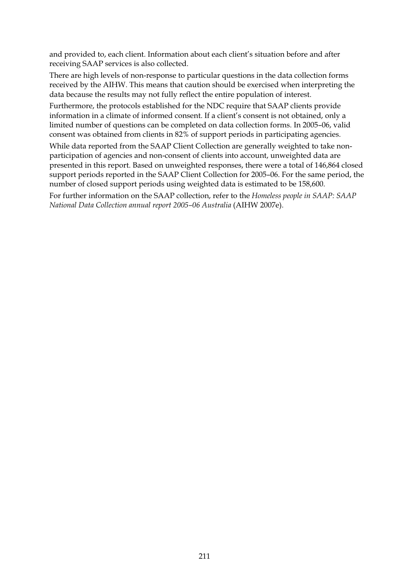and provided to, each client. Information about each client's situation before and after receiving SAAP services is also collected.

There are high levels of non-response to particular questions in the data collection forms received by the AIHW. This means that caution should be exercised when interpreting the data because the results may not fully reflect the entire population of interest.

Furthermore, the protocols established for the NDC require that SAAP clients provide information in a climate of informed consent. If a client's consent is not obtained, only a limited number of questions can be completed on data collection forms. In 2005–06, valid consent was obtained from clients in 82% of support periods in participating agencies.

While data reported from the SAAP Client Collection are generally weighted to take nonparticipation of agencies and non-consent of clients into account, unweighted data are presented in this report. Based on unweighted responses, there were a total of 146,864 closed support periods reported in the SAAP Client Collection for 2005–06. For the same period, the number of closed support periods using weighted data is estimated to be 158,600.

For further information on the SAAP collection, refer to the *Homeless people in SAAP: SAAP National Data Collection annual report 2005–06 Australia* (AIHW 2007e).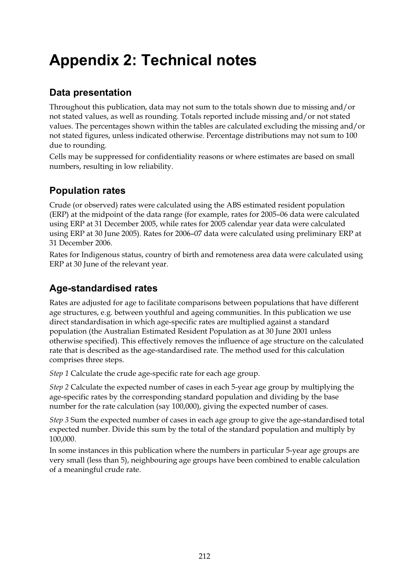# **Appendix 2: Technical notes**

## **Data presentation**

Throughout this publication, data may not sum to the totals shown due to missing and/or not stated values, as well as rounding. Totals reported include missing and/or not stated values. The percentages shown within the tables are calculated excluding the missing and/or not stated figures, unless indicated otherwise. Percentage distributions may not sum to 100 due to rounding.

Cells may be suppressed for confidentiality reasons or where estimates are based on small numbers, resulting in low reliability.

### **Population rates**

Crude (or observed) rates were calculated using the ABS estimated resident population (ERP) at the midpoint of the data range (for example, rates for 2005–06 data were calculated using ERP at 31 December 2005, while rates for 2005 calendar year data were calculated using ERP at 30 June 2005). Rates for 2006–07 data were calculated using preliminary ERP at 31 December 2006.

Rates for Indigenous status, country of birth and remoteness area data were calculated using ERP at 30 June of the relevant year.

## **Age-standardised rates**

Rates are adjusted for age to facilitate comparisons between populations that have different age structures, e.g. between youthful and ageing communities. In this publication we use direct standardisation in which age-specific rates are multiplied against a standard population (the Australian Estimated Resident Population as at 30 June 2001 unless otherwise specified). This effectively removes the influence of age structure on the calculated rate that is described as the age-standardised rate. The method used for this calculation comprises three steps.

*Step 1* Calculate the crude age-specific rate for each age group.

*Step 2* Calculate the expected number of cases in each 5-year age group by multiplying the age-specific rates by the corresponding standard population and dividing by the base number for the rate calculation (say 100,000), giving the expected number of cases.

*Step 3* Sum the expected number of cases in each age group to give the age-standardised total expected number. Divide this sum by the total of the standard population and multiply by 100,000.

In some instances in this publication where the numbers in particular 5-year age groups are very small (less than 5), neighbouring age groups have been combined to enable calculation of a meaningful crude rate.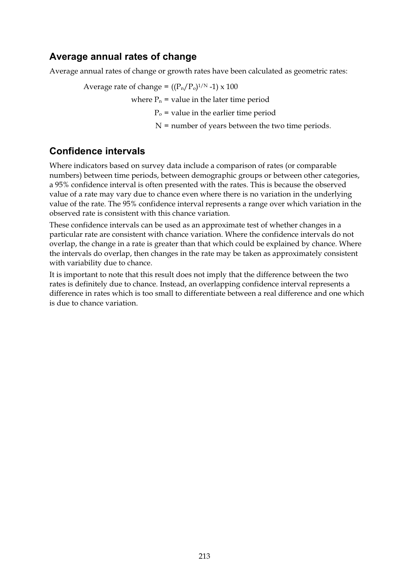#### **Average annual rates of change**

Average annual rates of change or growth rates have been calculated as geometric rates:

Average rate of change =  $((P_n/P_0)^{1/N} - 1) \times 100$ 

where  $P_n$  = value in the later time period

 $P<sub>o</sub>$  = value in the earlier time period

N = number of years between the two time periods.

#### **Confidence intervals**

Where indicators based on survey data include a comparison of rates (or comparable numbers) between time periods, between demographic groups or between other categories, a 95% confidence interval is often presented with the rates. This is because the observed value of a rate may vary due to chance even where there is no variation in the underlying value of the rate. The 95% confidence interval represents a range over which variation in the observed rate is consistent with this chance variation.

These confidence intervals can be used as an approximate test of whether changes in a particular rate are consistent with chance variation. Where the confidence intervals do not overlap, the change in a rate is greater than that which could be explained by chance. Where the intervals do overlap, then changes in the rate may be taken as approximately consistent with variability due to chance.

It is important to note that this result does not imply that the difference between the two rates is definitely due to chance. Instead, an overlapping confidence interval represents a difference in rates which is too small to differentiate between a real difference and one which is due to chance variation.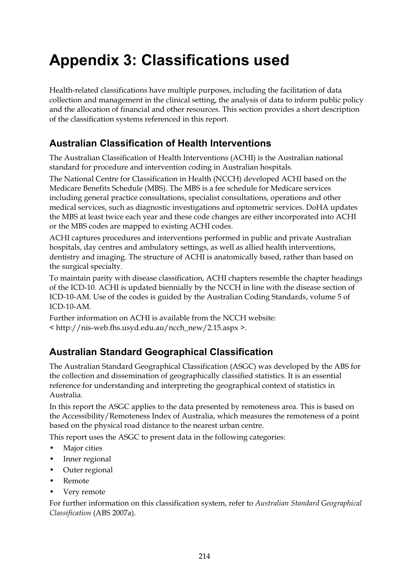# **Appendix 3: Classifications used**

Health-related classifications have multiple purposes, including the facilitation of data collection and management in the clinical setting, the analysis of data to inform public policy and the allocation of financial and other resources. This section provides a short description of the classification systems referenced in this report.

#### **Australian Classification of Health Interventions**

The Australian Classification of Health Interventions (ACHI) is the Australian national standard for procedure and intervention coding in Australian hospitals.

The National Centre for Classification in Health (NCCH) developed ACHI based on the Medicare Benefits Schedule (MBS). The MBS is a fee schedule for Medicare services including general practice consultations, specialist consultations, operations and other medical services, such as diagnostic investigations and optometric services. DoHA updates the MBS at least twice each year and these code changes are either incorporated into ACHI or the MBS codes are mapped to existing ACHI codes.

ACHI captures procedures and interventions performed in public and private Australian hospitals, day centres and ambulatory settings, as well as allied health interventions, dentistry and imaging. The structure of ACHI is anatomically based, rather than based on the surgical specialty.

To maintain parity with disease classification, ACHI chapters resemble the chapter headings of the ICD-10. ACHI is updated biennially by the NCCH in line with the disease section of ICD-10-AM. Use of the codes is guided by the Australian Coding Standards, volume 5 of  $ICD-10-AM$ .

Further information on ACHI is available from the NCCH website: < http://nis-web.fhs.usyd.edu.au/ncch\_new/2.15.aspx >.

### **Australian Standard Geographical Classification**

The Australian Standard Geographical Classification (ASGC) was developed by the ABS for the collection and dissemination of geographically classified statistics. It is an essential reference for understanding and interpreting the geographical context of statistics in Australia.

In this report the ASGC applies to the data presented by remoteness area. This is based on the Accessibility/Remoteness Index of Australia, which measures the remoteness of a point based on the physical road distance to the nearest urban centre.

This report uses the ASGC to present data in the following categories:

- Major cities
- Inner regional
- Outer regional
- Remote
- Very remote

For further information on this classification system, refer to *Australian Standard Geographical Classification* (ABS 2007a).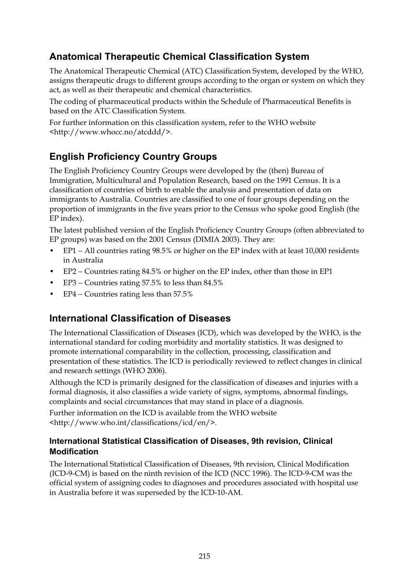## **Anatomical Therapeutic Chemical Classification System**

The Anatomical Therapeutic Chemical (ATC) Classification System, developed by the WHO, assigns therapeutic drugs to different groups according to the organ or system on which they act, as well as their therapeutic and chemical characteristics.

The coding of pharmaceutical products within the Schedule of Pharmaceutical Benefits is based on the ATC Classification System.

For further information on this classification system, refer to the WHO website <http://www.whocc.no/atcddd/>.

## **English Proficiency Country Groups**

The English Proficiency Country Groups were developed by the (then) Bureau of Immigration, Multicultural and Population Research, based on the 1991 Census. It is a classification of countries of birth to enable the analysis and presentation of data on immigrants to Australia. Countries are classified to one of four groups depending on the proportion of immigrants in the five years prior to the Census who spoke good English (the EP index).

The latest published version of the English Proficiency Country Groups (often abbreviated to EP groups) was based on the 2001 Census (DIMIA 2003). They are:

- EP1 − All countries rating 98.5% or higher on the EP index with at least 10,000 residents in Australia
- EP2 − Countries rating 84.5% or higher on the EP index, other than those in EP1
- EP3 − Countries rating 57.5% to less than 84.5%
- EP4 Countries rating less than 57.5%

#### **International Classification of Diseases**

The International Classification of Diseases (ICD), which was developed by the WHO, is the international standard for coding morbidity and mortality statistics. It was designed to promote international comparability in the collection, processing, classification and presentation of these statistics. The ICD is periodically reviewed to reflect changes in clinical and research settings (WHO 2006).

Although the ICD is primarily designed for the classification of diseases and injuries with a formal diagnosis, it also classifies a wide variety of signs, symptoms, abnormal findings, complaints and social circumstances that may stand in place of a diagnosis.

Further information on the ICD is available from the WHO website <http://www.who.int/classifications/icd/en/>.

#### **International Statistical Classification of Diseases, 9th revision, Clinical Modification**

The International Statistical Classification of Diseases, 9th revision, Clinical Modification (ICD-9-CM) is based on the ninth revision of the ICD (NCC 1996). The ICD-9-CM was the official system of assigning codes to diagnoses and procedures associated with hospital use in Australia before it was superseded by the ICD-10-AM.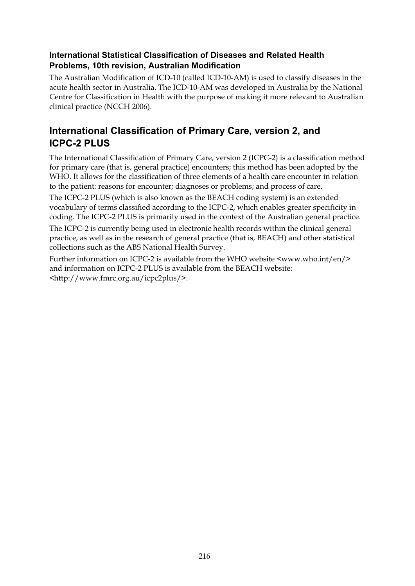#### **International Statistical Classification of Diseases and Related Health Problems, 10th revision, Australian Modification**

The Australian Modification of ICD-10 (called ICD-10-AM) is used to classify diseases in the acute health sector in Australia. The ICD-10-AM was developed in Australia by the National Centre for Classification in Health with the purpose of making it more relevant to Australian clinical practice (NCCH 2006).

## **International Classification of Primary Care, version 2, and ICPC-2 PLUS**

The International Classification of Primary Care, version 2 (ICPC-2) is a classification method for primary care (that is, general practice) encounters; this method has been adopted by the WHO. It allows for the classification of three elements of a health care encounter in relation to the patient: reasons for encounter; diagnoses or problems; and process of care.

The ICPC-2 PLUS (which is also known as the BEACH coding system) is an extended vocabulary of terms classified according to the ICPC-2, which enables greater specificity in coding. The ICPC-2 PLUS is primarily used in the context of the Australian general practice.

The ICPC-2 is currently being used in electronic health records within the clinical general practice, as well as in the research of general practice (that is, BEACH) and other statistical collections such as the ABS National Health Survey.

Further information on ICPC-2 is available from the WHO website <www.who.int/en/> and information on ICPC-2 PLUS is available from the BEACH website: <http://www.fmrc.org.au/icpc2plus/>.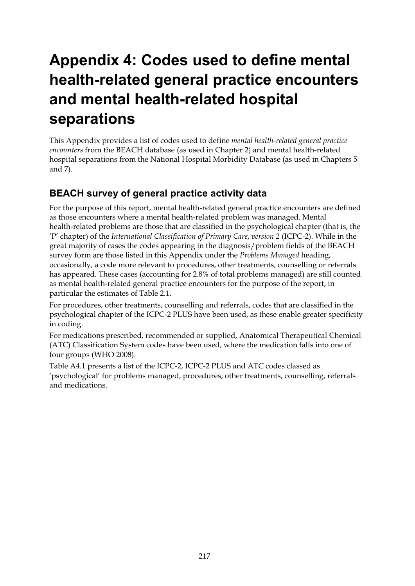# **Appendix 4: Codes used to define mental health-related general practice encounters and mental health-related hospital separations**

This Appendix provides a list of codes used to define *mental health-related general practice encounters* from the BEACH database (as used in Chapter 2) and mental health-related hospital separations from the National Hospital Morbidity Database (as used in Chapters 5 and 7).

## **BEACH survey of general practice activity data**

For the purpose of this report, mental health-related general practice encounters are defined as those encounters where a mental health-related problem was managed. Mental health-related problems are those that are classified in the psychological chapter (that is, the 'P' chapter) of the *International Classification of Primary Care*, *version 2* (ICPC-2). While in the great majority of cases the codes appearing in the diagnosis/problem fields of the BEACH survey form are those listed in this Appendix under the *Problems Managed* heading, occasionally, a code more relevant to procedures, other treatments, counselling or referrals has appeared. These cases (accounting for 2.8% of total problems managed) are still counted as mental health-related general practice encounters for the purpose of the report, in particular the estimates of Table 2.1.

For procedures, other treatments, counselling and referrals, codes that are classified in the psychological chapter of the ICPC-2 PLUS have been used, as these enable greater specificity in coding.

For medications prescribed, recommended or supplied, Anatomical Therapeutical Chemical (ATC) Classification System codes have been used, where the medication falls into one of four groups (WHO 2008).

Table A4.1 presents a list of the ICPC-2, ICPC-2 PLUS and ATC codes classed as 'psychological' for problems managed, procedures, other treatments, counselling, referrals and medications.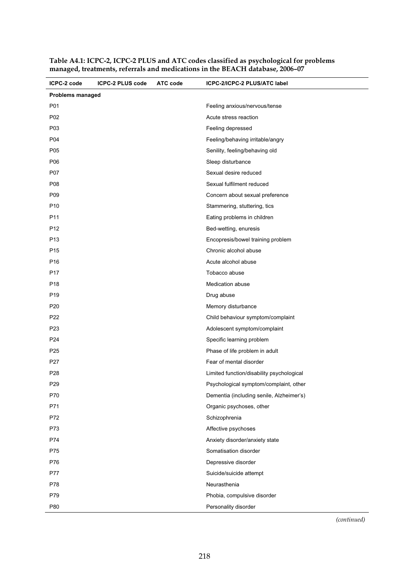| ICPC-2 code             | <b>ICPC-2 PLUS code</b> | ATC code | ICPC-2/ICPC-2 PLUS/ATC label              |
|-------------------------|-------------------------|----------|-------------------------------------------|
| <b>Problems managed</b> |                         |          |                                           |
| P01                     |                         |          | Feeling anxious/nervous/tense             |
| P02                     |                         |          | Acute stress reaction                     |
| P03                     |                         |          | Feeling depressed                         |
| P04                     |                         |          | Feeling/behaving irritable/angry          |
| P05                     |                         |          | Senility, feeling/behaving old            |
| P06                     |                         |          | Sleep disturbance                         |
| P07                     |                         |          | Sexual desire reduced                     |
| P08                     |                         |          | Sexual fulfilment reduced                 |
| P09                     |                         |          | Concern about sexual preference           |
| P <sub>10</sub>         |                         |          | Stammering, stuttering, tics              |
| P <sub>11</sub>         |                         |          | Eating problems in children               |
| P <sub>12</sub>         |                         |          | Bed-wetting, enuresis                     |
| P <sub>13</sub>         |                         |          | Encopresis/bowel training problem         |
| P <sub>15</sub>         |                         |          | Chronic alcohol abuse                     |
| P <sub>16</sub>         |                         |          | Acute alcohol abuse                       |
| P <sub>17</sub>         |                         |          | Tobacco abuse                             |
| P <sub>18</sub>         |                         |          | <b>Medication abuse</b>                   |
| P <sub>19</sub>         |                         |          | Drug abuse                                |
| P <sub>20</sub>         |                         |          | Memory disturbance                        |
| P22                     |                         |          | Child behaviour symptom/complaint         |
| P <sub>23</sub>         |                         |          | Adolescent symptom/complaint              |
| P <sub>24</sub>         |                         |          | Specific learning problem                 |
| P <sub>25</sub>         |                         |          | Phase of life problem in adult            |
| P27                     |                         |          | Fear of mental disorder                   |
| P <sub>28</sub>         |                         |          | Limited function/disability psychological |
| P29                     |                         |          | Psychological symptom/complaint, other    |
| P70                     |                         |          | Dementia (including senile, Alzheimer's)  |
| P71                     |                         |          | Organic psychoses, other                  |
| P72                     |                         |          | Schizophrenia                             |
| P73                     |                         |          | Affective psychoses                       |
| P74                     |                         |          | Anxiety disorder/anxiety state            |
| P75                     |                         |          | Somatisation disorder                     |
| P76                     |                         |          | Depressive disorder                       |
| P77                     |                         |          | Suicide/suicide attempt                   |
| P78                     |                         |          | Neurasthenia                              |
| P79                     |                         |          | Phobia, compulsive disorder               |
| P80                     |                         |          | Personality disorder                      |

**Table A4.1: ICPC-2, ICPC-2 PLUS and ATC codes classified as psychological for problems managed, treatments, referrals and medications in the BEACH database, 2006–07**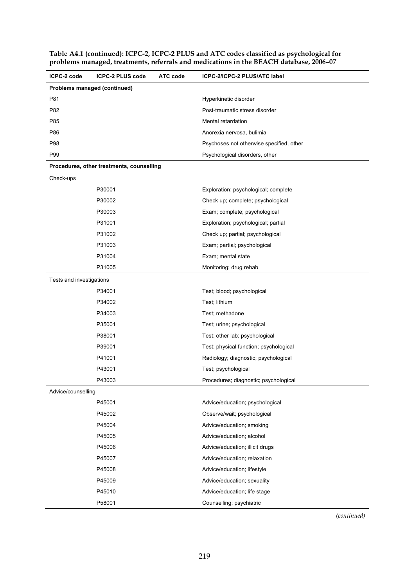| Table A4.1 (continued): ICPC-2, ICPC-2 PLUS and ATC codes classified as psychological for |  |
|-------------------------------------------------------------------------------------------|--|
| problems managed, treatments, referrals and medications in the BEACH database, 2006-07    |  |

| ICPC-2 code                  | <b>ICPC-2 PLUS code</b>                   | ATC code | <b>ICPC-2/ICPC-2 PLUS/ATC label</b>      |
|------------------------------|-------------------------------------------|----------|------------------------------------------|
| Problems managed (continued) |                                           |          |                                          |
| P81                          |                                           |          | Hyperkinetic disorder                    |
| P82                          |                                           |          | Post-traumatic stress disorder           |
| P85                          |                                           |          | Mental retardation                       |
| P86                          |                                           |          | Anorexia nervosa, bulimia                |
| P98                          |                                           |          | Psychoses not otherwise specified, other |
| P99                          |                                           |          | Psychological disorders, other           |
|                              | Procedures, other treatments, counselling |          |                                          |
| Check-ups                    |                                           |          |                                          |
|                              | P30001                                    |          | Exploration; psychological; complete     |
|                              | P30002                                    |          | Check up; complete; psychological        |
|                              | P30003                                    |          | Exam; complete; psychological            |
|                              | P31001                                    |          | Exploration; psychological; partial      |
|                              | P31002                                    |          | Check up; partial; psychological         |
|                              | P31003                                    |          | Exam; partial; psychological             |
|                              | P31004                                    |          | Exam; mental state                       |
|                              | P31005                                    |          | Monitoring; drug rehab                   |
| Tests and investigations     |                                           |          |                                          |
|                              | P34001                                    |          | Test; blood; psychological               |
|                              | P34002                                    |          | Test; lithium                            |
|                              | P34003                                    |          | Test; methadone                          |
|                              | P35001                                    |          | Test; urine; psychological               |
|                              | P38001                                    |          | Test; other lab; psychological           |
|                              | P39001                                    |          | Test; physical function; psychological   |
|                              | P41001                                    |          | Radiology; diagnostic; psychological     |
|                              | P43001                                    |          | Test; psychological                      |
|                              | P43003                                    |          | Procedures; diagnostic; psychological    |
| Advice/counselling           |                                           |          |                                          |
|                              | P45001                                    |          | Advice/education; psychological          |
|                              | P45002                                    |          | Observe/wait; psychological              |
|                              | P45004                                    |          | Advice/education; smoking                |
|                              | P45005                                    |          | Advice/education; alcohol                |
|                              | P45006                                    |          | Advice/education; illicit drugs          |
|                              | P45007                                    |          | Advice/education; relaxation             |
|                              | P45008                                    |          | Advice/education; lifestyle              |
|                              | P45009                                    |          | Advice/education; sexuality              |
|                              | P45010                                    |          | Advice/education; life stage             |
|                              | P58001                                    |          | Counselling; psychiatric                 |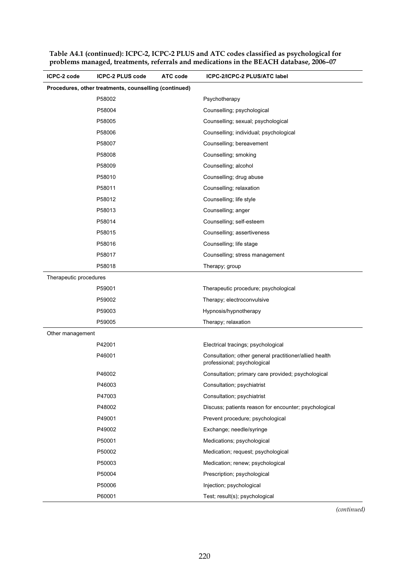| ICPC-2 code            | <b>ICPC-2 PLUS code</b>                               | ATC code | <b>ICPC-2/ICPC-2 PLUS/ATC label</b>                                                   |
|------------------------|-------------------------------------------------------|----------|---------------------------------------------------------------------------------------|
|                        | Procedures, other treatments, counselling (continued) |          |                                                                                       |
|                        | P58002                                                |          | Psychotherapy                                                                         |
|                        | P58004                                                |          | Counselling; psychological                                                            |
|                        | P58005                                                |          | Counselling; sexual; psychological                                                    |
|                        | P58006                                                |          | Counselling; individual; psychological                                                |
|                        | P58007                                                |          | Counselling; bereavement                                                              |
|                        | P58008                                                |          | Counselling; smoking                                                                  |
|                        | P58009                                                |          | Counselling; alcohol                                                                  |
|                        | P58010                                                |          | Counselling; drug abuse                                                               |
|                        | P58011                                                |          | Counselling; relaxation                                                               |
|                        | P58012                                                |          | Counselling; life style                                                               |
|                        | P58013                                                |          | Counselling; anger                                                                    |
|                        | P58014                                                |          | Counselling; self-esteem                                                              |
|                        | P58015                                                |          | Counselling; assertiveness                                                            |
|                        | P58016                                                |          | Counselling; life stage                                                               |
|                        | P58017                                                |          | Counselling; stress management                                                        |
|                        | P58018                                                |          | Therapy; group                                                                        |
| Therapeutic procedures |                                                       |          |                                                                                       |
|                        | P59001                                                |          | Therapeutic procedure; psychological                                                  |
|                        | P59002                                                |          | Therapy; electroconvulsive                                                            |
|                        | P59003                                                |          | Hypnosis/hypnotherapy                                                                 |
|                        | P59005                                                |          | Therapy; relaxation                                                                   |
| Other management       |                                                       |          |                                                                                       |
|                        | P42001                                                |          | Electrical tracings; psychological                                                    |
|                        | P46001                                                |          | Consultation; other general practitioner/allied health<br>professional; psychological |
|                        | P46002                                                |          | Consultation; primary care provided; psychological                                    |
|                        | P46003                                                |          | Consultation; psychiatrist                                                            |
|                        | P47003                                                |          | Consultation; psychiatrist                                                            |
|                        | P48002                                                |          | Discuss; patients reason for encounter; psychological                                 |
|                        | P49001                                                |          | Prevent procedure; psychological                                                      |
|                        | P49002                                                |          | Exchange; needle/syringe                                                              |
|                        | P50001                                                |          | Medications; psychological                                                            |
|                        | P50002                                                |          | Medication; request; psychological                                                    |
|                        | P50003                                                |          | Medication; renew; psychological                                                      |
|                        | P50004                                                |          | Prescription; psychological                                                           |
|                        | P50006                                                |          | Injection; psychological                                                              |
|                        | P60001                                                |          | Test; result(s); psychological                                                        |

**Table A4.1 (continued): ICPC-2, ICPC-2 PLUS and ATC codes classified as psychological for problems managed, treatments, referrals and medications in the BEACH database, 2006–07**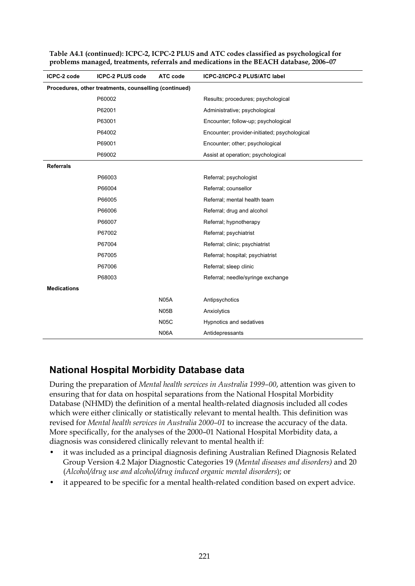| ICPC-2 code        | <b>ICPC-2 PLUS code</b>                               | ATC code          | ICPC-2/ICPC-2 PLUS/ATC label                 |
|--------------------|-------------------------------------------------------|-------------------|----------------------------------------------|
|                    | Procedures, other treatments, counselling (continued) |                   |                                              |
|                    | P60002                                                |                   | Results; procedures; psychological           |
|                    | P62001                                                |                   | Administrative; psychological                |
|                    | P63001                                                |                   | Encounter; follow-up; psychological          |
|                    | P64002                                                |                   | Encounter; provider-initiated; psychological |
|                    | P69001                                                |                   | Encounter; other; psychological              |
|                    | P69002                                                |                   | Assist at operation; psychological           |
| <b>Referrals</b>   |                                                       |                   |                                              |
|                    | P66003                                                |                   | Referral; psychologist                       |
|                    | P66004                                                |                   | Referral; counsellor                         |
|                    | P66005                                                |                   | Referral; mental health team                 |
|                    | P66006                                                |                   | Referral; drug and alcohol                   |
|                    | P66007                                                |                   | Referral; hypnotherapy                       |
|                    | P67002                                                |                   | Referral; psychiatrist                       |
|                    | P67004                                                |                   | Referral; clinic; psychiatrist               |
|                    | P67005                                                |                   | Referral; hospital; psychiatrist             |
|                    | P67006                                                |                   | Referral; sleep clinic                       |
|                    | P68003                                                |                   | Referral; needle/syringe exchange            |
| <b>Medications</b> |                                                       |                   |                                              |
|                    |                                                       | <b>N05A</b>       | Antipsychotics                               |
|                    |                                                       | N <sub>05</sub> B | Anxiolytics                                  |
|                    |                                                       | <b>N05C</b>       | Hypnotics and sedatives                      |
|                    |                                                       | <b>N06A</b>       | Antidepressants                              |

**Table A4.1 (continued): ICPC-2, ICPC-2 PLUS and ATC codes classified as psychological for problems managed, treatments, referrals and medications in the BEACH database, 2006–07** 

## **National Hospital Morbidity Database data**

During the preparation of *Mental health services in Australia 1999–00*, attention was given to ensuring that for data on hospital separations from the National Hospital Morbidity Database (NHMD) the definition of a mental health-related diagnosis included all codes which were either clinically or statistically relevant to mental health. This definition was revised for *Mental health services in Australia 2000–01* to increase the accuracy of the data. More specifically, for the analyses of the 2000–01 National Hospital Morbidity data, a diagnosis was considered clinically relevant to mental health if:

- it was included as a principal diagnosis defining Australian Refined Diagnosis Related Group Version 4.2 Major Diagnostic Categories 19 (*Mental diseases and disorders)* and 20 (*Alcohol/drug use and alcohol/drug induced organic mental disorders*); or
- it appeared to be specific for a mental health-related condition based on expert advice.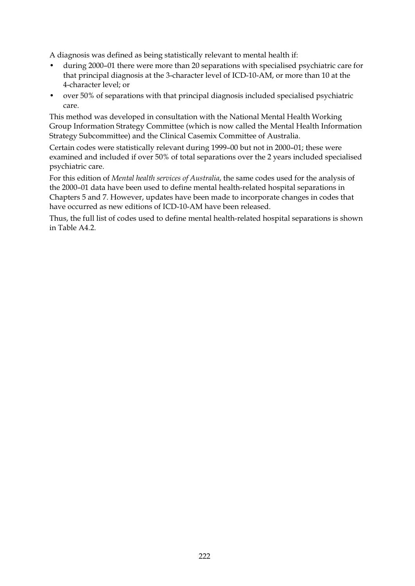A diagnosis was defined as being statistically relevant to mental health if:

- during 2000–01 there were more than 20 separations with specialised psychiatric care for that principal diagnosis at the 3-character level of ICD-10-AM, or more than 10 at the 4-character level; or
- over 50% of separations with that principal diagnosis included specialised psychiatric care.

This method was developed in consultation with the National Mental Health Working Group Information Strategy Committee (which is now called the Mental Health Information Strategy Subcommittee) and the Clinical Casemix Committee of Australia.

Certain codes were statistically relevant during 1999–00 but not in 2000–01; these were examined and included if over 50% of total separations over the 2 years included specialised psychiatric care.

For this edition of *Mental health services of Australia*, the same codes used for the analysis of the 2000–01 data have been used to define mental health-related hospital separations in Chapters 5 and 7. However, updates have been made to incorporate changes in codes that have occurred as new editions of ICD-10-AM have been released.

Thus, the full list of codes used to define mental health-related hospital separations is shown in Table  $A4.2$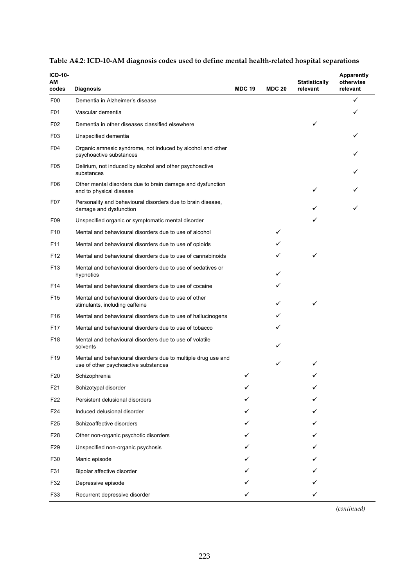| ICD-10-<br>АM<br>codes |                                                                                                       | <b>MDC 19</b> | <b>MDC 20</b> | <b>Statistically</b><br>relevant | <b>Apparently</b><br>otherwise<br>relevant |
|------------------------|-------------------------------------------------------------------------------------------------------|---------------|---------------|----------------------------------|--------------------------------------------|
| F <sub>0</sub>         | <b>Diagnosis</b><br>Dementia in Alzheimer's disease                                                   |               |               |                                  | ✓                                          |
| F <sub>0</sub> 1       | Vascular dementia                                                                                     |               |               |                                  | ✓                                          |
| F02                    | Dementia in other diseases classified elsewhere                                                       |               |               | ✓                                |                                            |
| F03                    | Unspecified dementia                                                                                  |               |               |                                  | ✓                                          |
| F04                    | Organic amnesic syndrome, not induced by alcohol and other<br>psychoactive substances                 |               |               |                                  |                                            |
| F05                    | Delirium, not induced by alcohol and other psychoactive<br>substances                                 |               |               |                                  |                                            |
| F06                    | Other mental disorders due to brain damage and dysfunction<br>and to physical disease                 |               |               |                                  |                                            |
| F <sub>0</sub> 7       | Personality and behavioural disorders due to brain disease,<br>damage and dysfunction                 |               |               |                                  |                                            |
| F <sub>09</sub>        | Unspecified organic or symptomatic mental disorder                                                    |               |               | ✓                                |                                            |
| F <sub>10</sub>        | Mental and behavioural disorders due to use of alcohol                                                |               | ✓             |                                  |                                            |
| F <sub>11</sub>        | Mental and behavioural disorders due to use of opioids                                                |               |               |                                  |                                            |
| F <sub>12</sub>        | Mental and behavioural disorders due to use of cannabinoids                                           |               | ✓             | ✓                                |                                            |
| F13                    | Mental and behavioural disorders due to use of sedatives or<br>hypnotics                              |               | ✓             |                                  |                                            |
| F14                    | Mental and behavioural disorders due to use of cocaine                                                |               | ✓             |                                  |                                            |
| F <sub>15</sub>        | Mental and behavioural disorders due to use of other<br>stimulants, including caffeine                |               | ✓             | ✓                                |                                            |
| F <sub>16</sub>        | Mental and behavioural disorders due to use of hallucinogens                                          |               | ✓             |                                  |                                            |
| F17                    | Mental and behavioural disorders due to use of tobacco                                                |               |               |                                  |                                            |
| F <sub>18</sub>        | Mental and behavioural disorders due to use of volatile<br>solvents                                   |               | ✓             |                                  |                                            |
| F <sub>19</sub>        | Mental and behavioural disorders due to multiple drug use and<br>use of other psychoactive substances |               | ✓             |                                  |                                            |
| F <sub>20</sub>        | Schizophrenia                                                                                         | ✓             |               |                                  |                                            |
| F21                    | Schizotypal disorder                                                                                  |               |               |                                  |                                            |
| F22                    | Persistent delusional disorders                                                                       |               |               |                                  |                                            |
| F24                    | Induced delusional disorder                                                                           |               |               |                                  |                                            |
| F <sub>25</sub>        | Schizoaffective disorders                                                                             |               |               |                                  |                                            |
| F28                    | Other non-organic psychotic disorders                                                                 |               |               |                                  |                                            |
| F29                    | Unspecified non-organic psychosis                                                                     |               |               |                                  |                                            |
| F30                    | Manic episode                                                                                         |               |               |                                  |                                            |
| F31                    | Bipolar affective disorder                                                                            |               |               |                                  |                                            |
| F32                    | Depressive episode                                                                                    |               |               |                                  |                                            |
| F33                    | Recurrent depressive disorder                                                                         | ✓             |               |                                  |                                            |

#### **Table A4.2: ICD-10-AM diagnosis codes used to define mental health-related hospital separations**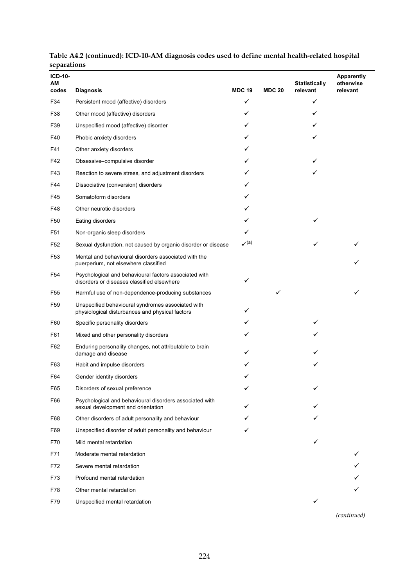| л.<br><b>ICD-10-</b><br>ΑМ |                                                                                                      | <b>MDC 19</b>       | <b>MDC 20</b> | <b>Statistically</b><br>relevant | <b>Apparently</b><br>otherwise |
|----------------------------|------------------------------------------------------------------------------------------------------|---------------------|---------------|----------------------------------|--------------------------------|
| codes<br>F34               | <b>Diagnosis</b>                                                                                     | ✓                   |               | ✓                                | relevant                       |
| F38                        | Persistent mood (affective) disorders<br>Other mood (affective) disorders                            | ✓                   |               | ✓                                |                                |
| F39                        |                                                                                                      | ✓                   |               |                                  |                                |
|                            | Unspecified mood (affective) disorder                                                                | ✓                   |               | ✓                                |                                |
| F40                        | Phobic anxiety disorders                                                                             |                     |               |                                  |                                |
| F41                        | Other anxiety disorders                                                                              | ✓                   |               |                                  |                                |
| F42                        | Obsessive-compulsive disorder                                                                        |                     |               |                                  |                                |
| F43                        | Reaction to severe stress, and adjustment disorders                                                  | ✓                   |               |                                  |                                |
| F44                        | Dissociative (conversion) disorders                                                                  | ✓                   |               |                                  |                                |
| F45                        | Somatoform disorders                                                                                 | ✓                   |               |                                  |                                |
| F48                        | Other neurotic disorders                                                                             | ✓                   |               |                                  |                                |
| F50                        | Eating disorders                                                                                     | ✓                   |               | ✓                                |                                |
| F <sub>51</sub>            | Non-organic sleep disorders                                                                          | ✓                   |               |                                  |                                |
| F <sub>52</sub>            | Sexual dysfunction, not caused by organic disorder or disease                                        | $\mathcal{V}^{(a)}$ |               |                                  |                                |
| F <sub>53</sub>            | Mental and behavioural disorders associated with the<br>puerperium, not elsewhere classified         |                     |               |                                  | ✓                              |
| F <sub>54</sub>            | Psychological and behavioural factors associated with<br>disorders or diseases classified elsewhere  | ✓                   |               |                                  |                                |
| F <sub>55</sub>            | Harmful use of non-dependence-producing substances                                                   |                     | ✓             |                                  | ✓                              |
| F59                        | Unspecified behavioural syndromes associated with<br>physiological disturbances and physical factors | ✓                   |               |                                  |                                |
| F60                        | Specific personality disorders                                                                       | ✓                   |               | ✓                                |                                |
| F61                        | Mixed and other personality disorders                                                                | ✓                   |               |                                  |                                |
| F62                        | Enduring personality changes, not attributable to brain<br>damage and disease                        |                     |               |                                  |                                |
| F63                        | Habit and impulse disorders                                                                          |                     |               | ✓                                |                                |
| F64                        | Gender identity disorders                                                                            |                     |               |                                  |                                |
| F65                        | Disorders of sexual preference                                                                       |                     |               |                                  |                                |
| F66                        | Psychological and behavioural disorders associated with<br>sexual development and orientation        |                     |               |                                  |                                |
| F68                        | Other disorders of adult personality and behaviour                                                   |                     |               |                                  |                                |
| F69                        | Unspecified disorder of adult personality and behaviour                                              |                     |               |                                  |                                |
| F70                        | Mild mental retardation                                                                              |                     |               | ✓                                |                                |
| F71                        | Moderate mental retardation                                                                          |                     |               |                                  |                                |
| F72                        | Severe mental retardation                                                                            |                     |               |                                  |                                |
| F73                        | Profound mental retardation                                                                          |                     |               |                                  |                                |
| F78                        | Other mental retardation                                                                             |                     |               |                                  |                                |
| F79                        | Unspecified mental retardation                                                                       |                     |               | ✓                                |                                |

#### **Table A4.2 (continued): ICD-10-AM diagnosis codes used to define mental health-related hospital separations**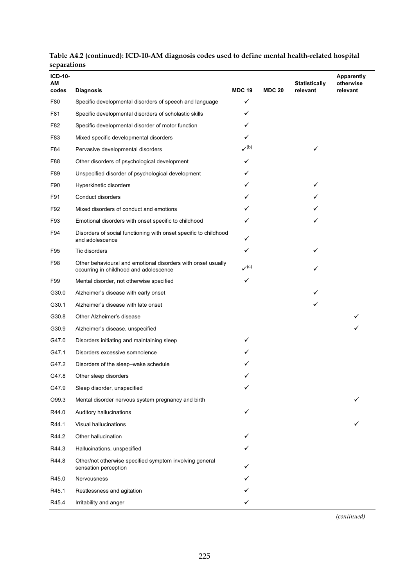| $ICD-10-$<br>АM |                                                                                                        |                             |               | <b>Statistically</b> | <b>Apparently</b><br>otherwise |
|-----------------|--------------------------------------------------------------------------------------------------------|-----------------------------|---------------|----------------------|--------------------------------|
| codes           | <b>Diagnosis</b>                                                                                       | <b>MDC 19</b>               | <b>MDC 20</b> | relevant             | relevant                       |
| F80             | Specific developmental disorders of speech and language                                                | ✓                           |               |                      |                                |
| F81             | Specific developmental disorders of scholastic skills                                                  | ✓                           |               |                      |                                |
| F82             | Specific developmental disorder of motor function                                                      | ✓                           |               |                      |                                |
| F83             | Mixed specific developmental disorders                                                                 | ✓                           |               |                      |                                |
| F84             | Pervasive developmental disorders                                                                      | $\checkmark$ <sup>(b)</sup> |               |                      |                                |
| F88             | Other disorders of psychological development                                                           | ✓                           |               |                      |                                |
| F89             | Unspecified disorder of psychological development                                                      |                             |               |                      |                                |
| F90             | Hyperkinetic disorders                                                                                 | ✓                           |               | ✓                    |                                |
| F91             | Conduct disorders                                                                                      | ✓                           |               |                      |                                |
| F92             | Mixed disorders of conduct and emotions                                                                |                             |               |                      |                                |
| F93             | Emotional disorders with onset specific to childhood                                                   | ✓                           |               | ✓                    |                                |
| F94             | Disorders of social functioning with onset specific to childhood<br>and adolescence                    | ✓                           |               |                      |                                |
| F95             | Tic disorders                                                                                          | ✓                           |               | ✓                    |                                |
| F98             | Other behavioural and emotional disorders with onset usually<br>occurring in childhood and adolescence | $\mathcal{N}^{(c)}$         |               | ✓                    |                                |
| F99             | Mental disorder, not otherwise specified                                                               | ✓                           |               |                      |                                |
| G30.0           | Alzheimer's disease with early onset                                                                   |                             |               |                      |                                |
| G30.1           | Alzheimer's disease with late onset                                                                    |                             |               | ✓                    |                                |
| G30.8           | Other Alzheimer's disease                                                                              |                             |               |                      |                                |
| G30.9           | Alzheimer's disease, unspecified                                                                       |                             |               |                      |                                |
| G47.0           | Disorders initiating and maintaining sleep                                                             |                             |               |                      |                                |
| G47.1           | Disorders excessive somnolence                                                                         |                             |               |                      |                                |
| G47.2           | Disorders of the sleep-wake schedule                                                                   |                             |               |                      |                                |
| G47.8           | Other sleep disorders                                                                                  |                             |               |                      |                                |
| G47.9           | Sleep disorder, unspecified                                                                            | ✓                           |               |                      |                                |
| O99.3           | Mental disorder nervous system pregnancy and birth                                                     |                             |               |                      |                                |
| R44.0           | Auditory hallucinations                                                                                | ✓                           |               |                      |                                |
| R44.1           | Visual hallucinations                                                                                  |                             |               |                      |                                |
| R44.2           | Other hallucination                                                                                    |                             |               |                      |                                |
| R44.3           | Hallucinations, unspecified                                                                            |                             |               |                      |                                |
| R44.8           | Other/not otherwise specified symptom involving general<br>sensation perception                        |                             |               |                      |                                |
| R45.0           | Nervousness                                                                                            |                             |               |                      |                                |
| R45.1           | Restlessness and agitation                                                                             |                             |               |                      |                                |
| R45.4           | Irritability and anger                                                                                 |                             |               |                      |                                |

#### **Table A4.2 (continued): ICD-10-AM diagnosis codes used to define mental health-related hospital separations**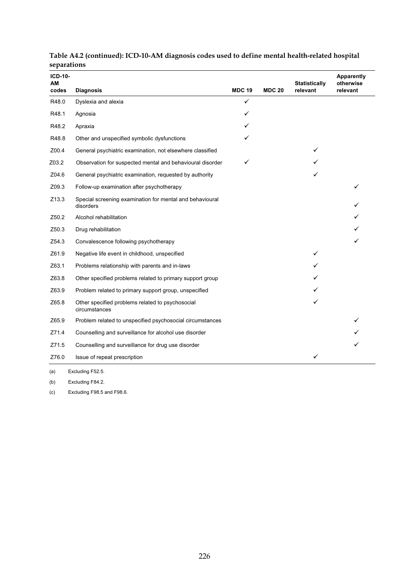| <b>ICD-10-</b><br>AM |                                                                       |               |               | <b>Statistically</b> | Apparently<br>otherwise |
|----------------------|-----------------------------------------------------------------------|---------------|---------------|----------------------|-------------------------|
| codes                | <b>Diagnosis</b>                                                      | <b>MDC 19</b> | <b>MDC 20</b> | relevant             | relevant                |
| R48.0                | Dyslexia and alexia                                                   | $\checkmark$  |               |                      |                         |
| R48.1                | Agnosia                                                               | ✓             |               |                      |                         |
| R48.2                | Apraxia                                                               |               |               |                      |                         |
| R48.8                | Other and unspecified symbolic dysfunctions                           |               |               |                      |                         |
| Z00.4                | General psychiatric examination, not elsewhere classified             |               |               | ✓                    |                         |
| Z03.2                | Observation for suspected mental and behavioural disorder             | ✓             |               |                      |                         |
| Z04.6                | General psychiatric examination, requested by authority               |               |               |                      |                         |
| Z09.3                | Follow-up examination after psychotherapy                             |               |               |                      |                         |
| Z13.3                | Special screening examination for mental and behavioural<br>disorders |               |               |                      |                         |
| Z50.2                | Alcohol rehabilitation                                                |               |               |                      |                         |
| Z50.3                | Drug rehabilitation                                                   |               |               |                      |                         |
| Z54.3                | Convalescence following psychotherapy                                 |               |               |                      |                         |
| Z61.9                | Negative life event in childhood, unspecified                         |               |               |                      |                         |
| Z63.1                | Problems relationship with parents and in-laws                        |               |               |                      |                         |
| Z63.8                | Other specified problems related to primary support group             |               |               |                      |                         |
| Z63.9                | Problem related to primary support group, unspecified                 |               |               |                      |                         |
| Z65.8                | Other specified problems related to psychosocial<br>circumstances     |               |               |                      |                         |
| Z65.9                | Problem related to unspecified psychosocial circumstances             |               |               |                      |                         |
| Z71.4                | Counselling and surveillance for alcohol use disorder                 |               |               |                      |                         |
| Z71.5                | Counselling and surveillance for drug use disorder                    |               |               |                      |                         |
| Z76.0                | Issue of repeat prescription                                          |               |               |                      |                         |

**Table A4.2 (continued): ICD-10-AM diagnosis codes used to define mental health-related hospital separations** 

(a) Excluding F52.5.

(b) Excluding F84.2.

(c) Excluding F98.5 and F98.6.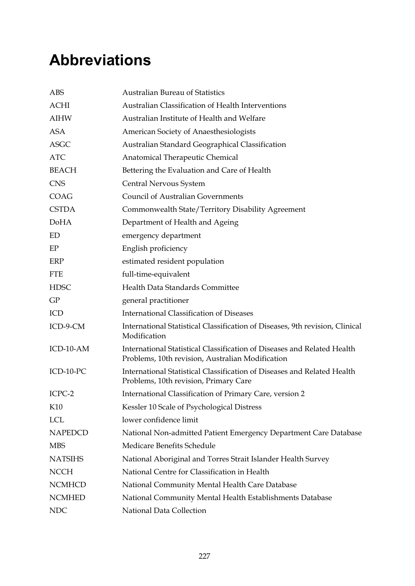# **Abbreviations**

| <b>ABS</b>     | <b>Australian Bureau of Statistics</b>                                                                                      |
|----------------|-----------------------------------------------------------------------------------------------------------------------------|
| <b>ACHI</b>    | Australian Classification of Health Interventions                                                                           |
| <b>AIHW</b>    | Australian Institute of Health and Welfare                                                                                  |
| <b>ASA</b>     | American Society of Anaesthesiologists                                                                                      |
| <b>ASGC</b>    | Australian Standard Geographical Classification                                                                             |
| <b>ATC</b>     | Anatomical Therapeutic Chemical                                                                                             |
| <b>BEACH</b>   | Bettering the Evaluation and Care of Health                                                                                 |
| <b>CNS</b>     | Central Nervous System                                                                                                      |
| <b>COAG</b>    | <b>Council of Australian Governments</b>                                                                                    |
| <b>CSTDA</b>   | Commonwealth State/Territory Disability Agreement                                                                           |
| <b>DoHA</b>    | Department of Health and Ageing                                                                                             |
| ED             | emergency department                                                                                                        |
| EP             | English proficiency                                                                                                         |
| ERP            | estimated resident population                                                                                               |
| <b>FTE</b>     | full-time-equivalent                                                                                                        |
| <b>HDSC</b>    | Health Data Standards Committee                                                                                             |
| GP             | general practitioner                                                                                                        |
| ICD            | <b>International Classification of Diseases</b>                                                                             |
| ICD-9-CM       | International Statistical Classification of Diseases, 9th revision, Clinical<br>Modification                                |
| ICD-10-AM      | International Statistical Classification of Diseases and Related Health<br>Problems, 10th revision, Australian Modification |
| ICD-10-PC      | International Statistical Classification of Diseases and Related Health<br>Problems, 10th revision, Primary Care            |
| ICPC-2         | International Classification of Primary Care, version 2                                                                     |
| K10            | Kessler 10 Scale of Psychological Distress                                                                                  |
| <b>LCL</b>     | lower confidence limit                                                                                                      |
| <b>NAPEDCD</b> | National Non-admitted Patient Emergency Department Care Database                                                            |
| <b>MBS</b>     | Medicare Benefits Schedule                                                                                                  |
| <b>NATSIHS</b> | National Aboriginal and Torres Strait Islander Health Survey                                                                |
| <b>NCCH</b>    | National Centre for Classification in Health                                                                                |
| <b>NCMHCD</b>  | National Community Mental Health Care Database                                                                              |
| <b>NCMHED</b>  | National Community Mental Health Establishments Database                                                                    |
| <b>NDC</b>     | National Data Collection                                                                                                    |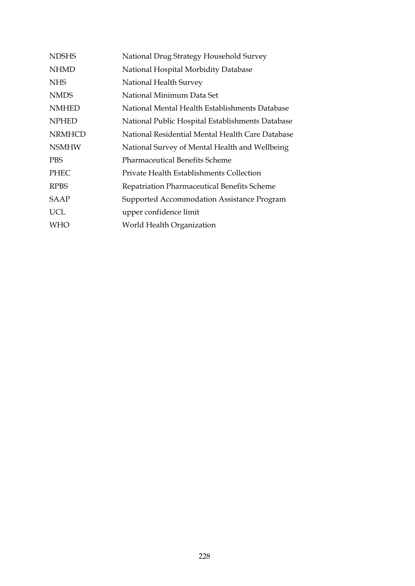| <b>NDSHS</b>  | National Drug Strategy Household Survey          |
|---------------|--------------------------------------------------|
| <b>NHMD</b>   | National Hospital Morbidity Database             |
| NHS.          | National Health Survey                           |
| <b>NMDS</b>   | National Minimum Data Set                        |
| <b>NMHED</b>  | National Mental Health Establishments Database   |
| <b>NPHED</b>  | National Public Hospital Establishments Database |
| <b>NRMHCD</b> | National Residential Mental Health Care Database |
| <b>NSMHW</b>  | National Survey of Mental Health and Wellbeing   |
| <b>PBS</b>    | <b>Pharmaceutical Benefits Scheme</b>            |
| <b>PHEC</b>   | Private Health Establishments Collection         |
| <b>RPBS</b>   | Repatriation Pharmaceutical Benefits Scheme      |
| <b>SAAP</b>   | Supported Accommodation Assistance Program       |
| <b>UCL</b>    | upper confidence limit                           |
| WHO           | World Health Organization                        |
|               |                                                  |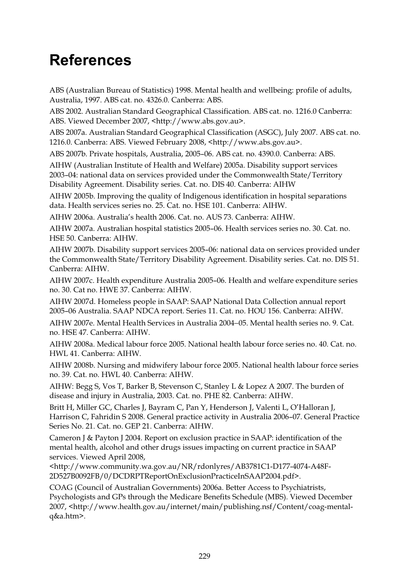## **References**

ABS (Australian Bureau of Statistics) 1998. Mental health and wellbeing: profile of adults, Australia, 1997. ABS cat. no. 4326.0. Canberra: ABS.

ABS 2002. Australian Standard Geographical Classification. ABS cat. no. 1216.0 Canberra: ABS. Viewed December 2007, <http://www.abs.gov.au>.

ABS 2007a. Australian Standard Geographical Classification (ASGC), July 2007. ABS cat. no. 1216.0. Canberra: ABS. Viewed February 2008, <http://www.abs.gov.au>.

ABS 2007b. Private hospitals, Australia, 2005–06. ABS cat. no. 4390.0. Canberra: ABS.

AIHW (Australian Institute of Health and Welfare) 2005a. Disability support services 2003–04: national data on services provided under the Commonwealth State/Territory Disability Agreement. Disability series. Cat. no. DIS 40. Canberra: AIHW

AIHW 2005b. Improving the quality of Indigenous identification in hospital separations data. Health services series no. 25. Cat. no. HSE 101. Canberra: AIHW.

AIHW 2006a. Australia's health 2006. Cat. no. AUS 73. Canberra: AIHW.

AIHW 2007a. Australian hospital statistics 2005–06. Health services series no. 30. Cat. no. HSE 50. Canberra: AIHW.

AIHW 2007b. Disability support services 2005–06: national data on services provided under the Commonwealth State/Territory Disability Agreement. Disability series. Cat. no. DIS 51. Canberra: AIHW.

AIHW 2007c. Health expenditure Australia 2005–06. Health and welfare expenditure series no. 30. Cat no. HWE 37. Canberra: AIHW.

AIHW 2007d. Homeless people in SAAP: SAAP National Data Collection annual report 2005–06 Australia. SAAP NDCA report. Series 11. Cat. no. HOU 156. Canberra: AIHW.

AIHW 2007e. Mental Health Services in Australia 2004−05. Mental health series no. 9. Cat. no. HSE 47. Canberra: AIHW.

AIHW 2008a. Medical labour force 2005. National health labour force series no. 40. Cat. no. HWL 41. Canberra: AIHW.

AIHW 2008b. Nursing and midwifery labour force 2005. National health labour force series no. 39. Cat. no. HWL 40. Canberra: AIHW.

AIHW: Begg S, Vos T, Barker B, Stevenson C, Stanley L & Lopez A 2007. The burden of disease and injury in Australia, 2003. Cat. no. PHE 82. Canberra: AIHW.

Britt H, Miller GC, Charles J, Bayram C, Pan Y, Henderson J, Valenti L, O'Halloran J, Harrison C, Fahridin S 2008. General practice activity in Australia 2006–07. General Practice Series No. 21. Cat. no. GEP 21. Canberra: AIHW.

Cameron J & Payton J 2004. Report on exclusion practice in SAAP: identification of the mental health, alcohol and other drugs issues impacting on current practice in SAAP services. Viewed April 2008,

<http://www.community.wa.gov.au/NR/rdonlyres/AB3781C1-D177-4074-A48F-2D527B0092FB/0/DCDRPTReportOnExclusionPracticeInSAAP2004.pdf>.

COAG (Council of Australian Governments) 2006a. Better Access to Psychiatrists, Psychologists and GPs through the Medicare Benefits Schedule (MBS). Viewed December 2007, <http://www.health.gov.au/internet/main/publishing.nsf/Content/coag-mentalq&a.htm>.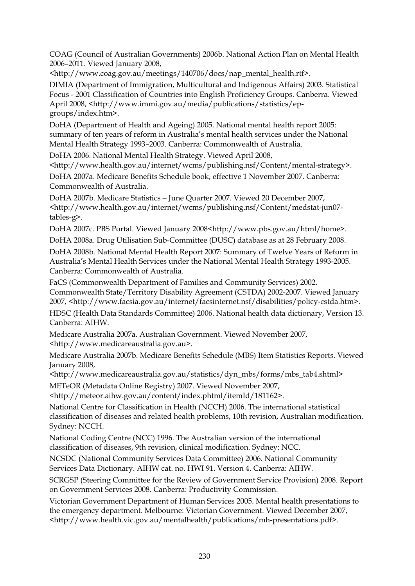COAG (Council of Australian Governments) 2006b. National Action Plan on Mental Health 2006–2011. Viewed January 2008,

<http://www.coag.gov.au/meetings/140706/docs/nap\_mental\_health.rtf>.

DIMIA (Department of Immigration, Multicultural and Indigenous Affairs) 2003. Statistical Focus - 2001 Classification of Countries into English Proficiency Groups. Canberra. Viewed April 2008, <http://www.immi.gov.au/media/publications/statistics/epgroups/index.htm>.

DoHA (Department of Health and Ageing) 2005. National mental health report 2005: summary of ten years of reform in Australia's mental health services under the National Mental Health Strategy 1993–2003. Canberra: Commonwealth of Australia.

DoHA 2006. National Mental Health Strategy. Viewed April 2008,

<http://www.health.gov.au/internet/wcms/publishing.nsf/Content/mental-strategy>.

DoHA 2007a. Medicare Benefits Schedule book, effective 1 November 2007. Canberra: Commonwealth of Australia.

DoHA 2007b. Medicare Statistics − June Quarter 2007. Viewed 20 December 2007, <http://www.health.gov.au/internet/wcms/publishing.nsf/Content/medstat-jun07 tables-g>.

DoHA 2007c. PBS Portal. Viewed January 2008<http://www.pbs.gov.au/html/home>.

DoHA 2008a. Drug Utilisation Sub-Committee (DUSC) database as at 28 February 2008.

DoHA 2008b. National Mental Health Report 2007: Summary of Twelve Years of Reform in Australia's Mental Health Services under the National Mental Health Strategy 1993-2005. Canberra: Commonwealth of Australia.

FaCS (Commonwealth Department of Families and Community Services) 2002. Commonwealth State/Territory Disability Agreement (CSTDA) 2002-2007. Viewed January 2007, <http://www.facsia.gov.au/internet/facsinternet.nsf/disabilities/policy-cstda.htm>.

HDSC (Health Data Standards Committee) 2006. National health data dictionary, Version 13. Canberra: AIHW.

Medicare Australia 2007a. Australian Government. Viewed November 2007, <http://www.medicareaustralia.gov.au>.

Medicare Australia 2007b. Medicare Benefits Schedule (MBS) Item Statistics Reports. Viewed January 2008,

<http://www.medicareaustralia.gov.au/statistics/dyn\_mbs/forms/mbs\_tab4.shtml>

METeOR (Metadata Online Registry) 2007. Viewed November 2007,

<http://meteor.aihw.gov.au/content/index.phtml/itemId/181162>.

National Centre for Classification in Health (NCCH) 2006. The international statistical classification of diseases and related health problems, 10th revision, Australian modification. Sydney: NCCH.

National Coding Centre (NCC) 1996. The Australian version of the international classification of diseases, 9th revision, clinical modification. Sydney: NCC.

NCSDC (National Community Services Data Committee) 2006. National Community Services Data Dictionary. AIHW cat. no. HWI 91. Version 4. Canberra: AIHW.

SCRGSP (Steering Committee for the Review of Government Service Provision) 2008. Report on Government Services 2008. Canberra: Productivity Commission.

Victorian Government Department of Human Services 2005. Mental health presentations to the emergency department. Melbourne: Victorian Government. Viewed December 2007, <http://www.health.vic.gov.au/mentalhealth/publications/mh-presentations.pdf>.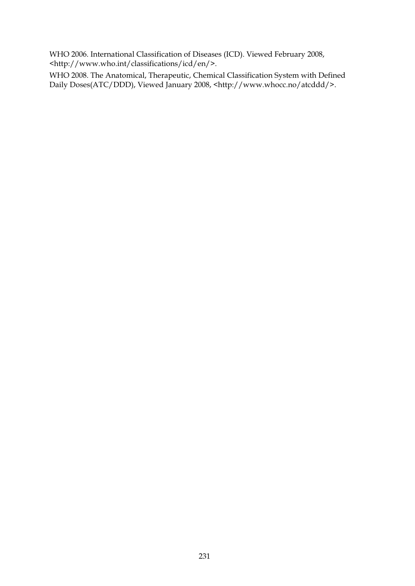WHO 2006. International Classification of Diseases (ICD). Viewed February 2008, <http://www.who.int/classifications/icd/en/>.

WHO 2008. The Anatomical, Therapeutic, Chemical Classification System with Defined Daily Doses(ATC/DDD), Viewed January 2008, <http://www.whocc.no/atcddd/>.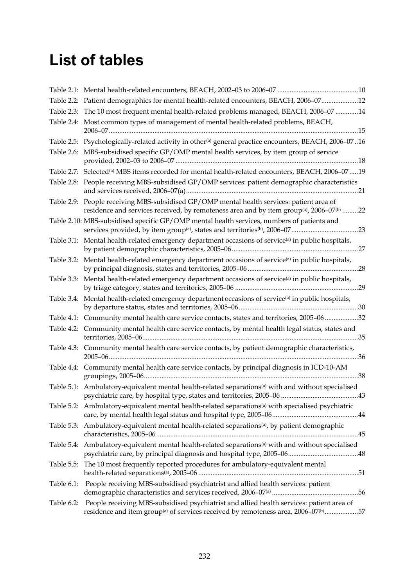## **List of tables**

|            | Table 2.2: Patient demographics for mental health-related encounters, BEACH, 2006-0712                                                                                                                        |
|------------|---------------------------------------------------------------------------------------------------------------------------------------------------------------------------------------------------------------|
|            | Table 2.3: The 10 most frequent mental health-related problems managed, BEACH, 2006-07 14                                                                                                                     |
|            | Table 2.4: Most common types of management of mental health-related problems, BEACH,                                                                                                                          |
|            | Table 2.5: Psychologically-related activity in other <sup>(a)</sup> general practice encounters, BEACH, 2006-0716                                                                                             |
|            | Table 2.6: MBS-subsidised specific GP/OMP mental health services, by item group of service                                                                                                                    |
|            | Table 2.7: Selected <sup>(a)</sup> MBS items recorded for mental health-related encounters, BEACH, 2006-07  19                                                                                                |
|            | Table 2.8: People receiving MBS-subsidised GP/OMP services: patient demographic characteristics                                                                                                               |
|            | Table 2.9: People receiving MBS-subsidised GP/OMP mental health services: patient area of<br>residence and services received, by remoteness area and by item group <sup>(a)</sup> , 2006-07 <sup>(b)</sup> 22 |
|            | Table 2.10: MBS-subsidised specific GP/OMP mental health services, numbers of patients and                                                                                                                    |
| Table 3.1: | Mental health-related emergency department occasions of service <sup>(a)</sup> in public hospitals,                                                                                                           |
|            | Table 3.2: Mental health-related emergency department occasions of service <sup>(a)</sup> in public hospitals,                                                                                                |
|            | Table 3.3: Mental health-related emergency department occasions of service <sup>(a)</sup> in public hospitals,                                                                                                |
|            | Table 3.4: Mental health-related emergency department occasions of service <sup>(a)</sup> in public hospitals,                                                                                                |
|            | Table 4.1: Community mental health care service contacts, states and territories, 2005-0632                                                                                                                   |
|            | Table 4.2: Community mental health care service contacts, by mental health legal status, states and                                                                                                           |
|            | Table 4.3: Community mental health care service contacts, by patient demographic characteristics,                                                                                                             |
|            | Table 4.4: Community mental health care service contacts, by principal diagnosis in ICD-10-AM                                                                                                                 |
|            | Table 5.1: Ambulatory-equivalent mental health-related separations <sup>(a)</sup> with and without specialised                                                                                                |
|            | Table 5.2: Ambulatory-equivalent mental health-related separations <sup>(a)</sup> with specialised psychiatric                                                                                                |
|            | Table 5.3: Ambulatory-equivalent mental health-related separations <sup>(a)</sup> , by patient demographic                                                                                                    |
|            | Table 5.4: Ambulatory-equivalent mental health-related separations <sup>(a)</sup> with and without specialised                                                                                                |
|            | Table 5.5: The 10 most frequently reported procedures for ambulatory-equivalent mental                                                                                                                        |
|            | Table 6.1: People receiving MBS-subsidised psychiatrist and allied health services: patient                                                                                                                   |
| Table 6.2: | People receiving MBS-subsidised psychiatrist and allied health services: patient area of<br>residence and item group <sup>(a)</sup> of services received by remoteness area, 2006-07 <sup>(b)</sup> 57        |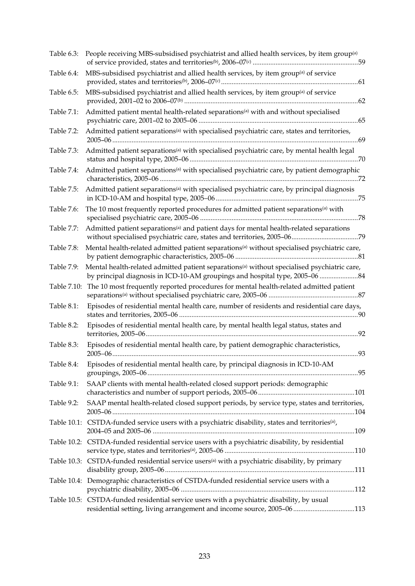| Table 6.3:  | People receiving MBS-subsidised psychiatrist and allied health services, by item group <sup>(a)</sup>                                                                                  |
|-------------|----------------------------------------------------------------------------------------------------------------------------------------------------------------------------------------|
| Table 6.4:  | MBS-subsidised psychiatrist and allied health services, by item group <sup>(a)</sup> of service                                                                                        |
| Table 6.5:  | MBS-subsidised psychiatrist and allied health services, by item group <sup>(a)</sup> of service                                                                                        |
| Table 7.1:  | Admitted patient mental health-related separations <sup>(a)</sup> with and without specialised                                                                                         |
| Table 7.2:  | Admitted patient separations <sup>(a)</sup> with specialised psychiatric care, states and territories,                                                                                 |
| Table 7.3:  | Admitted patient separations <sup>(a)</sup> with specialised psychiatric care, by mental health legal                                                                                  |
| Table 7.4:  | Admitted patient separations <sup>(a)</sup> with specialised psychiatric care, by patient demographic                                                                                  |
| Table 7.5:  | Admitted patient separations <sup>(a)</sup> with specialised psychiatric care, by principal diagnosis                                                                                  |
| Table 7.6:  | The 10 most frequently reported procedures for admitted patient separations <sup>(a)</sup> with                                                                                        |
| Table 7.7:  | Admitted patient separations <sup>(a)</sup> and patient days for mental health-related separations                                                                                     |
| Table 7.8:  | Mental health-related admitted patient separations <sup>(a)</sup> without specialised psychiatric care,                                                                                |
| Table 7.9:  | Mental health-related admitted patient separations <sup>(a)</sup> without specialised psychiatric care,<br>by principal diagnosis in ICD-10-AM groupings and hospital type, 2005-06 84 |
| Table 7.10: | The 10 most frequently reported procedures for mental health-related admitted patient                                                                                                  |
| Table 8.1:  | Episodes of residential mental health care, number of residents and residential care days,                                                                                             |
| Table 8.2:  | Episodes of residential mental health care, by mental health legal status, states and                                                                                                  |
| Table 8.3:  | Episodes of residential mental health care, by patient demographic characteristics,                                                                                                    |
| Table 8.4:  | Episodes of residential mental health care, by principal diagnosis in ICD-10-AM                                                                                                        |
| Table 9.1:  | SAAP clients with mental health-related closed support periods: demographic                                                                                                            |
| Table 9.2:  | SAAP mental health-related closed support periods, by service type, states and territories,                                                                                            |
|             | Table 10.1: CSTDA-funded service users with a psychiatric disability, states and territories <sup>(a)</sup> ,                                                                          |
|             | Table 10.2: CSTDA-funded residential service users with a psychiatric disability, by residential                                                                                       |
|             | Table 10.3: CSTDA-funded residential service users <sup>(a)</sup> with a psychiatric disability, by primary                                                                            |
|             | Table 10.4: Demographic characteristics of CSTDA-funded residential service users with a                                                                                               |
|             | Table 10.5: CSTDA-funded residential service users with a psychiatric disability, by usual<br>residential setting, living arrangement and income source, 2005-06113                    |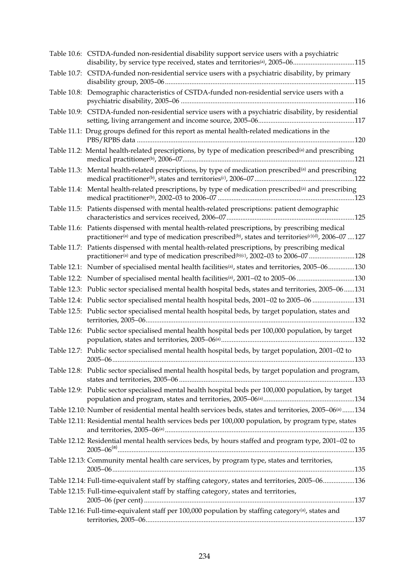| Table 10.6: CSTDA-funded non-residential disability support service users with a psychiatric<br>disability, by service type received, states and territories <sup>(a)</sup> , 2005-06115                                                 |
|------------------------------------------------------------------------------------------------------------------------------------------------------------------------------------------------------------------------------------------|
| Table 10.7: CSTDA-funded non-residential service users with a psychiatric disability, by primary                                                                                                                                         |
| Table 10.8: Demographic characteristics of CSTDA-funded non-residential service users with a                                                                                                                                             |
| Table 10.9: CSTDA-funded non-residential service users with a psychiatric disability, by residential                                                                                                                                     |
| Table 11.1: Drug groups defined for this report as mental health-related medications in the                                                                                                                                              |
| Table 11.2: Mental health-related prescriptions, by type of medication prescribed <sup>(a)</sup> and prescribing                                                                                                                         |
| Table 11.3: Mental health-related prescriptions, by type of medication prescribed <sup>(a)</sup> and prescribing                                                                                                                         |
| Table 11.4: Mental health-related prescriptions, by type of medication prescribed <sup>(a)</sup> and prescribing                                                                                                                         |
| Table 11.5: Patients dispensed with mental health-related prescriptions: patient demographic                                                                                                                                             |
| Table 11.6: Patients dispensed with mental health-related prescriptions, by prescribing medical<br>practitioner <sup>(a)</sup> and type of medication prescribed <sup>(b)</sup> , states and territories <sup>(c)(d)</sup> , 2006-07 127 |
| Table 11.7: Patients dispensed with mental health-related prescriptions, by prescribing medical<br>practitioner <sup>(a)</sup> and type of medication prescribed <sup>(b)(c)</sup> , 2002-03 to 2006-07128                               |
| Table 12.1: Number of specialised mental health facilities <sup>(a)</sup> , states and territories, 2005–06130                                                                                                                           |
| Table 12.2: Number of specialised mental health facilities <sup>(a)</sup> , 2001-02 to 2005-06130                                                                                                                                        |
| Table 12.3: Public sector specialised mental health hospital beds, states and territories, 2005-06131                                                                                                                                    |
| Table 12.4: Public sector specialised mental health hospital beds, 2001-02 to 2005-06 131                                                                                                                                                |
| Table 12.5: Public sector specialised mental health hospital beds, by target population, states and                                                                                                                                      |
| Table 12.6: Public sector specialised mental health hospital beds per 100,000 population, by target                                                                                                                                      |
| Table 12.7: Public sector specialised mental health hospital beds, by target population, 2001-02 to<br>.133                                                                                                                              |
| Table 12.8: Public sector specialised mental health hospital beds, by target population and program,                                                                                                                                     |
| Table 12.9: Public sector specialised mental health hospital beds per 100,000 population, by target                                                                                                                                      |
| Table 12.10: Number of residential mental health services beds, states and territories, 2005-06 <sup>(a)</sup> 134                                                                                                                       |
| Table 12.11: Residential mental health services beds per 100,000 population, by program type, states                                                                                                                                     |
| Table 12.12: Residential mental health services beds, by hours staffed and program type, 2001-02 to                                                                                                                                      |
| Table 12.13: Community mental health care services, by program type, states and territories,                                                                                                                                             |
| Table 12.14: Full-time-equivalent staff by staffing category, states and territories, 2005-06136                                                                                                                                         |
| Table 12.15: Full-time-equivalent staff by staffing category, states and territories,                                                                                                                                                    |
| Table 12.16: Full-time-equivalent staff per 100,000 population by staffing category <sup>(a)</sup> , states and                                                                                                                          |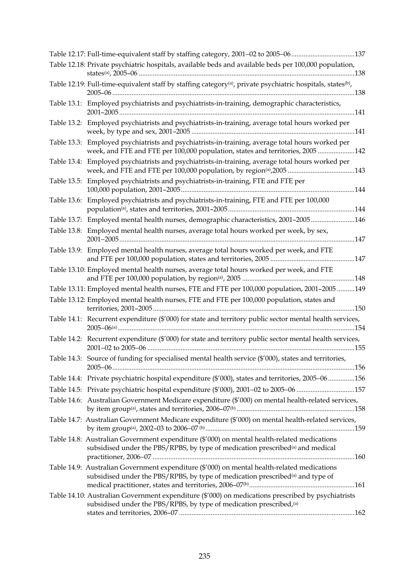| Table 12.17: Full-time-equivalent staff by staffing category, 2001-02 to 2005-06137                                                                                                       |  |
|-------------------------------------------------------------------------------------------------------------------------------------------------------------------------------------------|--|
| Table 12.18: Private psychiatric hospitals, available beds and available beds per 100,000 population,                                                                                     |  |
| Table 12.19: Full-time-equivalent staff by staffing category <sup>(a)</sup> , private psychiatric hospitals, states <sup>(b)</sup> ,                                                      |  |
| Table 13.1: Employed psychiatrists and psychiatrists-in-training, demographic characteristics,                                                                                            |  |
| Table 13.2: Employed psychiatrists and psychiatrists-in-training, average total hours worked per                                                                                          |  |
| Table 13.3: Employed psychiatrists and psychiatrists-in-training, average total hours worked per<br>week, and FTE and FTE per 100,000 population, states and territories, 2005 142        |  |
| Table 13.4: Employed psychiatrists and psychiatrists-in-training, average total hours worked per                                                                                          |  |
| Table 13.5: Employed psychiatrists and psychiatrists-in-training, FTE and FTE per                                                                                                         |  |
| Table 13.6: Employed psychiatrists and psychiatrists-in-training, FTE and FTE per 100,000                                                                                                 |  |
| Table 13.7: Employed mental health nurses, demographic characteristics, 2001-2005146                                                                                                      |  |
| Table 13.8: Employed mental health nurses, average total hours worked per week, by sex,                                                                                                   |  |
| Table 13.9: Employed mental health nurses, average total hours worked per week, and FTE                                                                                                   |  |
| Table 13.10: Employed mental health nurses, average total hours worked per week, and FTE                                                                                                  |  |
| Table 13.11: Employed mental health nurses, FTE and FTE per 100,000 population, 2001-2005 149                                                                                             |  |
| Table 13.12: Employed mental health nurses, FTE and FTE per 100,000 population, states and                                                                                                |  |
| Table 14.1: Recurrent expenditure (\$'000) for state and territory public sector mental health services,                                                                                  |  |
| Table 14.2: Recurrent expenditure (\$'000) for state and territory public sector mental health services,                                                                                  |  |
| Table 14.3: Source of funding for specialised mental health service (\$'000), states and territories,                                                                                     |  |
| Table 14.4: Private psychiatric hospital expenditure (\$'000), states and territories, 2005-06 156                                                                                        |  |
| Table 14.5: Private psychiatric hospital expenditure (\$'000), 2001-02 to 2005-06 157                                                                                                     |  |
| Table 14.6: Australian Government Medicare expenditure (\$'000) on mental health-related services,                                                                                        |  |
| Table 14.7: Australian Government Medicare expenditure (\$'000) on mental health-related services,                                                                                        |  |
| Table 14.8: Australian Government expenditure (\$'000) on mental health-related medications<br>subsidised under the PBS/RPBS, by type of medication prescribed <sup>(a)</sup> and medical |  |
| Table 14.9: Australian Government expenditure (\$'000) on mental health-related medications<br>subsidised under the PBS/RPBS, by type of medication prescribed <sup>(a)</sup> and type of |  |
| Table 14.10: Australian Government expenditure (\$'000) on medications prescribed by psychiatrists<br>subsidised under the PBS/RPBS, by type of medication prescribed, <sup>(a)</sup>     |  |
|                                                                                                                                                                                           |  |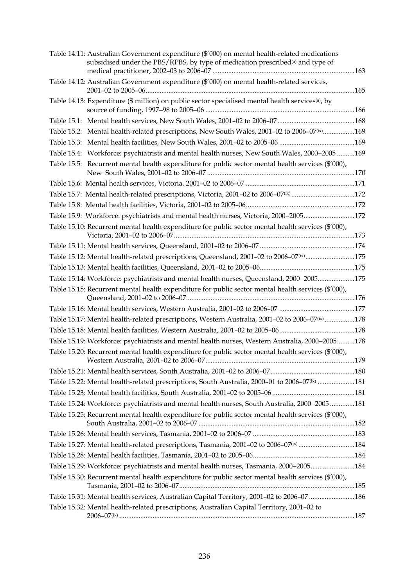| Table 14.11: Australian Government expenditure (\$'000) on mental health-related medications<br>subsidised under the PBS/RPBS, by type of medication prescribed <sup>(a)</sup> and type of |  |
|--------------------------------------------------------------------------------------------------------------------------------------------------------------------------------------------|--|
| Table 14.12: Australian Government expenditure (\$'000) on mental health-related services,                                                                                                 |  |
| Table 14.13: Expenditure (\$ million) on public sector specialised mental health services <sup>(a)</sup> , by                                                                              |  |
|                                                                                                                                                                                            |  |
| Table 15.2: Mental health-related prescriptions, New South Wales, 2001-02 to 2006-07 <sup>(ix)</sup> 169                                                                                   |  |
|                                                                                                                                                                                            |  |
| Table 15.4: Workforce: psychiatrists and mental health nurses, New South Wales, 2000-2005 169                                                                                              |  |
| Table 15.5: Recurrent mental health expenditure for public sector mental health services (\$'000),                                                                                         |  |
|                                                                                                                                                                                            |  |
| Table 15.7: Mental health-related prescriptions, Victoria, 2001-02 to 2006-07 <sup>(ix)</sup> 172                                                                                          |  |
|                                                                                                                                                                                            |  |
| Table 15.9: Workforce: psychiatrists and mental health nurses, Victoria, 2000-2005172                                                                                                      |  |
| Table 15.10: Recurrent mental health expenditure for public sector mental health services (\$'000),                                                                                        |  |
|                                                                                                                                                                                            |  |
| Table 15.12: Mental health-related prescriptions, Queensland, 2001-02 to 2006-07 <sup>(ix)</sup> 175                                                                                       |  |
|                                                                                                                                                                                            |  |
| Table 15.14: Workforce: psychiatrists and mental health nurses, Queensland, 2000-2005175                                                                                                   |  |
| Table 15.15: Recurrent mental health expenditure for public sector mental health services (\$'000),                                                                                        |  |
|                                                                                                                                                                                            |  |
| Table 15.17: Mental health-related prescriptions, Western Australia, 2001-02 to 2006-07 <sup>(ix)</sup> 178                                                                                |  |
|                                                                                                                                                                                            |  |
| Table 15.19: Workforce: psychiatrists and mental health nurses, Western Australia, 2000-2005178                                                                                            |  |
| Table 15.20: Recurrent mental health expenditure for public sector mental health services (\$'000),                                                                                        |  |
|                                                                                                                                                                                            |  |
| Table 15.22: Mental health-related prescriptions, South Australia, 2000-01 to 2006-07 <sup>(ix)</sup> 181                                                                                  |  |
|                                                                                                                                                                                            |  |
| Table 15.24: Workforce: psychiatrists and mental health nurses, South Australia, 2000-2005 181                                                                                             |  |
| Table 15.25: Recurrent mental health expenditure for public sector mental health services (\$'000),                                                                                        |  |
|                                                                                                                                                                                            |  |
| Table 15.27: Mental health-related prescriptions, Tasmania, 2001-02 to 2006-07 <sup>(ix)</sup> 184                                                                                         |  |
|                                                                                                                                                                                            |  |
| Table 15.29: Workforce: psychiatrists and mental health nurses, Tasmania, 2000-2005184                                                                                                     |  |
| Table 15.30: Recurrent mental health expenditure for public sector mental health services (\$'000),                                                                                        |  |
| Table 15.31: Mental health services, Australian Capital Territory, 2001-02 to 2006-07 186                                                                                                  |  |
| Table 15.32: Mental health-related prescriptions, Australian Capital Territory, 2001-02 to                                                                                                 |  |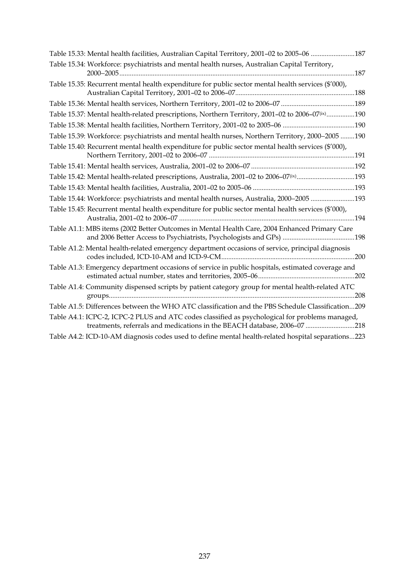| Table 15.34: Workforce: psychiatrists and mental health nurses, Australian Capital Territory,                                                                               |  |
|-----------------------------------------------------------------------------------------------------------------------------------------------------------------------------|--|
| Table 15.35: Recurrent mental health expenditure for public sector mental health services (\$'000),                                                                         |  |
|                                                                                                                                                                             |  |
| Table 15.37: Mental health-related prescriptions, Northern Territory, 2001-02 to 2006-07 <sup>(ix)</sup> 190                                                                |  |
|                                                                                                                                                                             |  |
| Table 15.39: Workforce: psychiatrists and mental health nurses, Northern Territory, 2000-2005 190                                                                           |  |
| Table 15.40: Recurrent mental health expenditure for public sector mental health services (\$'000),                                                                         |  |
|                                                                                                                                                                             |  |
| Table 15.42: Mental health-related prescriptions, Australia, 2001-02 to 2006-07 <sup>(ix)</sup> 193                                                                         |  |
|                                                                                                                                                                             |  |
| Table 15.44: Workforce: psychiatrists and mental health nurses, Australia, 2000-2005 193                                                                                    |  |
| Table 15.45: Recurrent mental health expenditure for public sector mental health services (\$'000),                                                                         |  |
| Table A1.1: MBS items (2002 Better Outcomes in Mental Health Care, 2004 Enhanced Primary Care                                                                               |  |
| Table A1.2: Mental health-related emergency department occasions of service, principal diagnosis                                                                            |  |
| Table A1.3: Emergency department occasions of service in public hospitals, estimated coverage and                                                                           |  |
| Table A1.4: Community dispensed scripts by patient category group for mental health-related ATC                                                                             |  |
| Table A1.5: Differences between the WHO ATC classification and the PBS Schedule Classification209                                                                           |  |
| Table A4.1: ICPC-2, ICPC-2 PLUS and ATC codes classified as psychological for problems managed,<br>treatments, referrals and medications in the BEACH database, 2006-07 218 |  |
| Table A4.2: ICD-10-AM diagnosis codes used to define mental health-related hospital separations223                                                                          |  |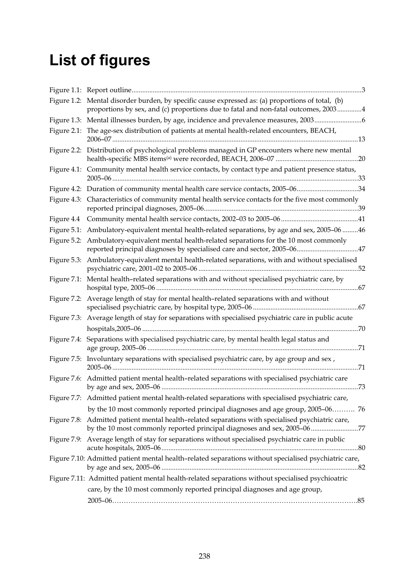# **List of figures**

|             | Figure 1.2: Mental disorder burden, by specific cause expressed as: (a) proportions of total, (b)<br>proportions by sex, and (c) proportions due to fatal and non-fatal outcomes, 20034 |
|-------------|-----------------------------------------------------------------------------------------------------------------------------------------------------------------------------------------|
|             | Figure 1.3: Mental illnesses burden, by age, incidence and prevalence measures, 20036                                                                                                   |
|             | Figure 2.1: The age-sex distribution of patients at mental health-related encounters, BEACH,                                                                                            |
|             | Figure 2.2: Distribution of psychological problems managed in GP encounters where new mental                                                                                            |
|             | Figure 4.1: Community mental health service contacts, by contact type and patient presence status,                                                                                      |
|             | Figure 4.2: Duration of community mental health care service contacts, 2005-0634                                                                                                        |
|             | Figure 4.3: Characteristics of community mental health service contacts for the five most commonly                                                                                      |
|             |                                                                                                                                                                                         |
|             | Figure 5.1: Ambulatory-equivalent mental health-related separations, by age and sex, 2005-06 46                                                                                         |
|             | Figure 5.2: Ambulatory-equivalent mental health-related separations for the 10 most commonly<br>reported principal diagnoses by specialised care and sector, 2005-0647                  |
|             | Figure 5.3: Ambulatory-equivalent mental health-related separations, with and without specialised                                                                                       |
|             | Figure 7.1: Mental health-related separations with and without specialised psychiatric care, by                                                                                         |
|             | Figure 7.2: Average length of stay for mental health-related separations with and without                                                                                               |
|             | Figure 7.3: Average length of stay for separations with specialised psychiatric care in public acute                                                                                    |
|             |                                                                                                                                                                                         |
| Figure 7.4: | Separations with specialised psychiatric care, by mental health legal status and                                                                                                        |
|             | Figure 7.5: Involuntary separations with specialised psychiatric care, by age group and sex,                                                                                            |
|             | Figure 7.6: Admitted patient mental health-related separations with specialised psychiatric care                                                                                        |
|             | Figure 7.7: Admitted patient mental health-related separations with specialised psychiatric care,                                                                                       |
|             | by the 10 most commonly reported principal diagnoses and age group, 2005-06 76                                                                                                          |
|             | Figure 7.8: Admitted patient mental health-related separations with specialised psychiatric care,<br>by the 10 most commonly reported principal diagnoses and sex, 2005-0677            |
|             | Figure 7.9: Average length of stay for separations without specialised psychiatric care in public                                                                                       |
|             | Figure 7.10: Admitted patient mental health-related separations without specialised psychiatric care,                                                                                   |
|             | Figure 7.11: Admitted patient mental health-related separations without specialised psychioatric                                                                                        |
|             | care, by the 10 most commonly reported principal diagnoses and age group,                                                                                                               |
|             |                                                                                                                                                                                         |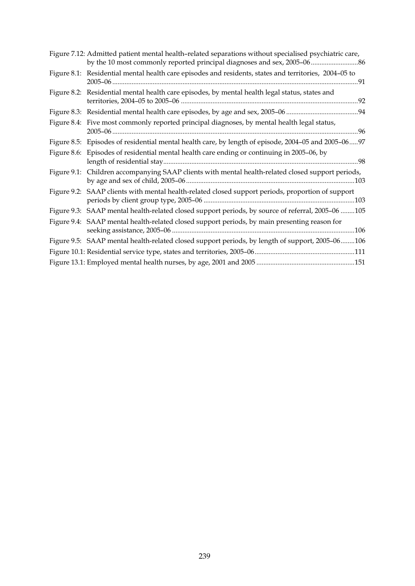| Figure 7.12: Admitted patient mental health-related separations without specialised psychiatric care, |  |
|-------------------------------------------------------------------------------------------------------|--|
| Figure 8.1: Residential mental health care episodes and residents, states and territories, 2004-05 to |  |
| Figure 8.2: Residential mental health care episodes, by mental health legal status, states and        |  |
|                                                                                                       |  |
| Figure 8.4: Five most commonly reported principal diagnoses, by mental health legal status,           |  |
| Figure 8.5: Episodes of residential mental health care, by length of episode, 2004-05 and 2005-0697   |  |
| Figure 8.6: Episodes of residential mental health care ending or continuing in 2005-06, by            |  |
| Figure 9.1: Children accompanying SAAP clients with mental health-related closed support periods,     |  |
| Figure 9.2: SAAP clients with mental health-related closed support periods, proportion of support     |  |
| Figure 9.3: SAAP mental health-related closed support periods, by source of referral, 2005-06 105     |  |
| Figure 9.4: SAAP mental health-related closed support periods, by main presenting reason for          |  |
| Figure 9.5: SAAP mental health-related closed support periods, by length of support, 2005-06106       |  |
|                                                                                                       |  |
|                                                                                                       |  |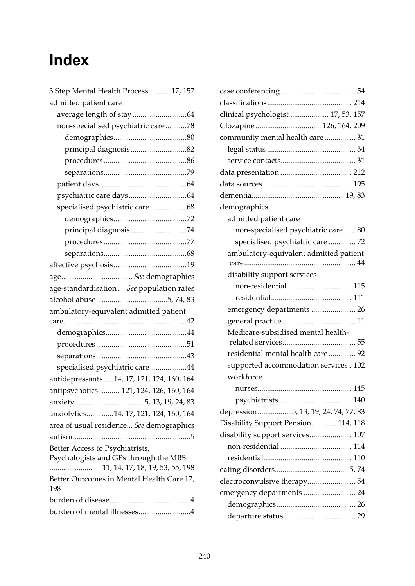## **Index**

| 3 Step Mental Health Process 17, 157                                                |
|-------------------------------------------------------------------------------------|
| admitted patient care                                                               |
|                                                                                     |
| non-specialised psychiatric care78                                                  |
|                                                                                     |
| principal diagnosis82                                                               |
|                                                                                     |
|                                                                                     |
|                                                                                     |
|                                                                                     |
| specialised psychiatric care68                                                      |
|                                                                                     |
| principal diagnosis74                                                               |
|                                                                                     |
|                                                                                     |
|                                                                                     |
|                                                                                     |
| age-standardisation See population rates                                            |
|                                                                                     |
|                                                                                     |
| ambulatory-equivalent admitted patient                                              |
|                                                                                     |
|                                                                                     |
|                                                                                     |
|                                                                                     |
| specialised psychiatric care44                                                      |
| antidepressants  14, 17, 121, 124, 160, 164                                         |
| antipsychotics121, 124, 126, 160, 164                                               |
|                                                                                     |
| anxiolytics14, 17, 121, 124, 160, 164                                               |
| area of usual residence See demographics                                            |
|                                                                                     |
| Better Access to Psychiatrists,<br>Psychologists and GPs through the MBS            |
| 11, 14, 17, 18, 19, 53, 55, 198<br>Better Outcomes in Mental Health Care 17,<br>198 |
|                                                                                     |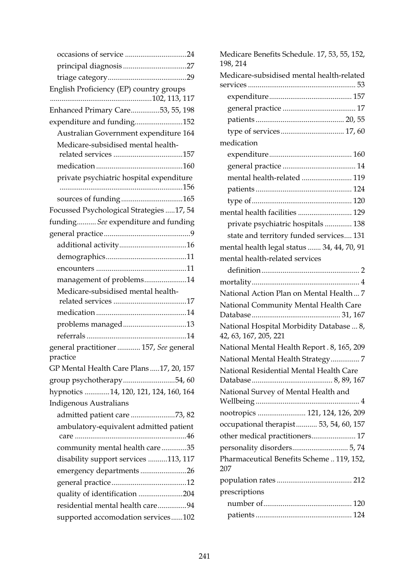| English Proficiency (EP) country groups  |
|------------------------------------------|
| Enhanced Primary Care53, 55, 198         |
| expenditure and funding152               |
| Australian Government expenditure 164    |
| Medicare-subsidised mental health-       |
|                                          |
|                                          |
| private psychiatric hospital expenditure |
|                                          |
| Focussed Psychological Strategies 17, 54 |
| funding See expenditure and funding      |
|                                          |
|                                          |
|                                          |
|                                          |
| management of problems14                 |
| Medicare-subsidised mental health-       |
|                                          |
| problems managed13                       |
|                                          |
| general practitioner  157, See general   |
| practice                                 |
| GP Mental Health Care Plans17, 20, 157   |
| group psychotherapy54,60                 |
| hypnotics 14, 120, 121, 124, 160, 164    |
| <b>Indigenous Australians</b>            |
| admitted patient care 73, 82             |
| ambulatory-equivalent admitted patient   |
| community mental health care35           |
| disability support services 113, 117     |
| emergency departments26                  |
|                                          |
| quality of identification 204            |
| residential mental health care94         |
| supported accomodation services102       |

| Medicare Benefits Schedule. 17, 53, 55, 152,<br>198, 214          |
|-------------------------------------------------------------------|
| Medicare-subsidised mental health-related                         |
|                                                                   |
|                                                                   |
|                                                                   |
|                                                                   |
| medication                                                        |
|                                                                   |
|                                                                   |
|                                                                   |
| mental health-related  119                                        |
|                                                                   |
|                                                                   |
| mental health facilities  129                                     |
| private psychiatric hospitals  138                                |
| state and territory funded services 131                           |
| mental health legal status  34, 44, 70, 91                        |
| mental health-related services                                    |
|                                                                   |
|                                                                   |
| National Action Plan on Mental Health 7                           |
| National Community Mental Health Care                             |
|                                                                   |
| National Hospital Morbidity Database  8,<br>42, 63, 167, 205, 221 |
| National Mental Health Report . 8, 165, 209                       |
| National Mental Health Strategy7                                  |
| National Residential Mental Health Care                           |
| National Survey of Mental Health and                              |
|                                                                   |
| nootropics  121, 124, 126, 209                                    |
| occupational therapist 53, 54, 60, 157                            |
| other medical practitioners 17                                    |
|                                                                   |
| Pharmaceutical Benefits Scheme  119, 152,<br>207                  |
|                                                                   |
| prescriptions                                                     |
|                                                                   |
|                                                                   |
|                                                                   |